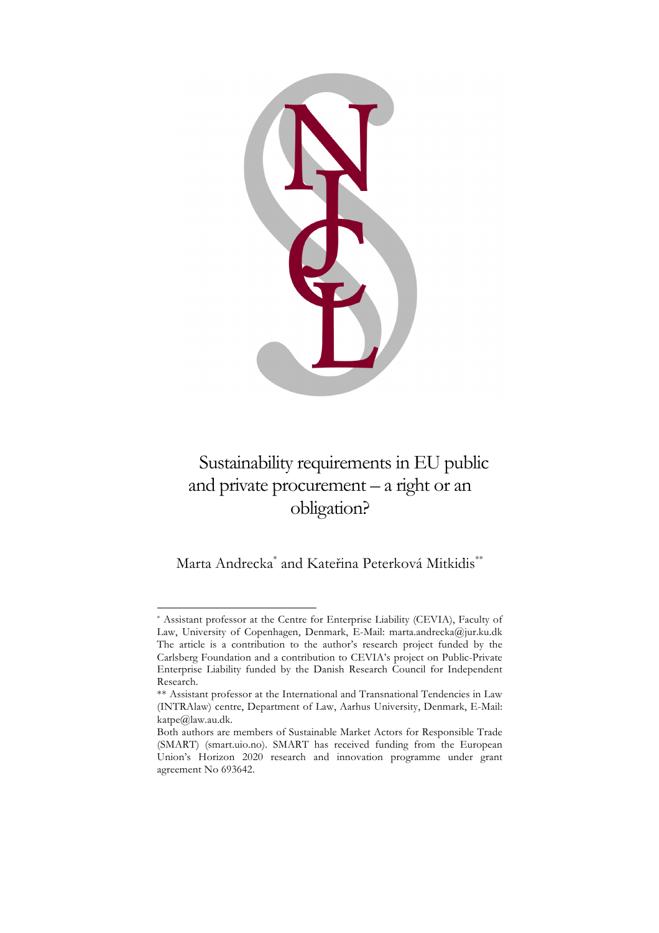

# Sustainability requirements in EU public and private procurement – a right or an obligation?

Marta Andrecka\* and Kateřina Peterková Mitkidis\*\*

 <sup>\*</sup> Assistant professor at the Centre for Enterprise Liability (CEVIA), Faculty of Law, University of Copenhagen, Denmark, E-Mail: marta.andrecka@jur.ku.dk The article is a contribution to the author's research project funded by the Carlsberg Foundation and a contribution to CEVIA's project on Public-Private Enterprise Liability funded by the Danish Research Council for Independent Research.

<sup>\*\*</sup> Assistant professor at the International and Transnational Tendencies in Law (INTRAlaw) centre, Department of Law, Aarhus University, Denmark, E-Mail: katpe@law.au.dk.

Both authors are members of Sustainable Market Actors for Responsible Trade (SMART) (smart.uio.no). SMART has received funding from the European Union's Horizon 2020 research and innovation programme under grant agreement No 693642.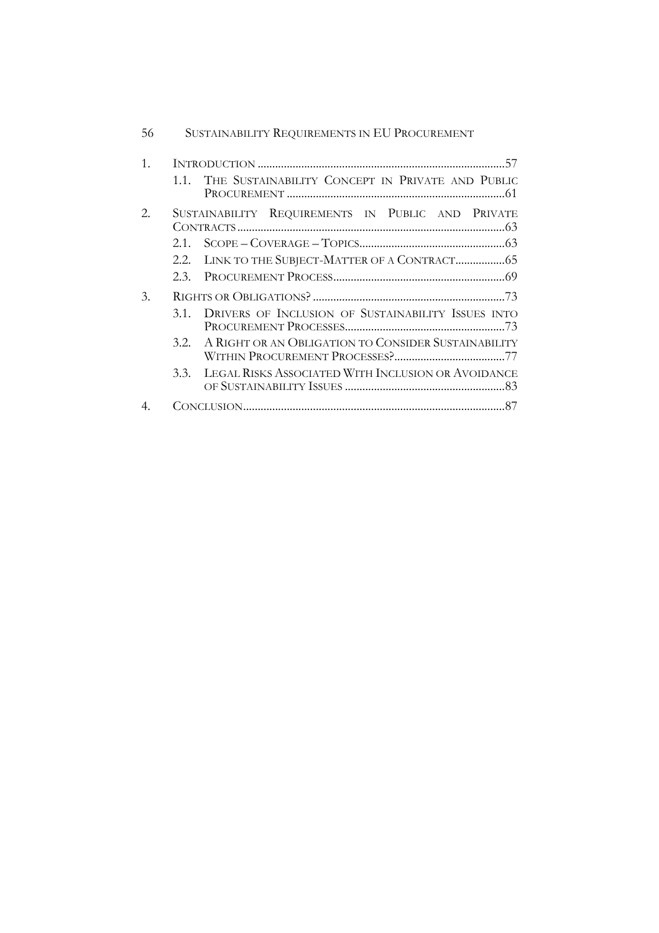| 56 | SUSTAINABILITY REQUIREMENTS IN EU PROCUREMENT               |
|----|-------------------------------------------------------------|
| 1. |                                                             |
|    | THE SUSTAINABILITY CONCEPT IN PRIVATE AND PUBLIC<br>1.1.    |
| 2. | SUSTAINABILITY REQUIREMENTS IN PUBLIC AND PRIVATE           |
|    | 2.1                                                         |
|    | 2.2.                                                        |
|    | 23                                                          |
| 3. |                                                             |
|    | DRIVERS OF INCLUSION OF SUSTAINABILITY ISSUES INTO<br>3.1.  |
|    | A RIGHT OR AN OBLIGATION TO CONSIDER SUSTAINABILITY<br>3.2. |
|    | LEGAL RISKS ASSOCIATED WITH INCLUSION OR AVOIDANCE<br>3.3.  |
|    |                                                             |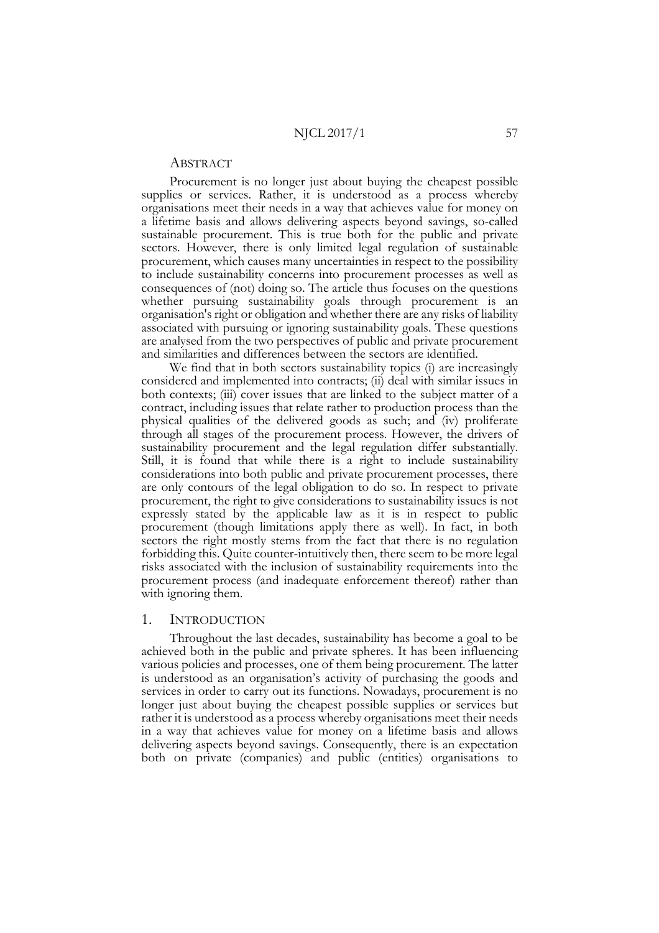## ABSTRACT

Procurement is no longer just about buying the cheapest possible supplies or services. Rather, it is understood as a process whereby organisations meet their needs in a way that achieves value for money on a lifetime basis and allows delivering aspects beyond savings, so-called sustainable procurement. This is true both for the public and private sectors. However, there is only limited legal regulation of sustainable procurement, which causes many uncertainties in respect to the possibility to include sustainability concerns into procurement processes as well as consequences of (not) doing so. The article thus focuses on the questions whether pursuing sustainability goals through procurement is an organisation's right or obligation and whether there are any risks of liability associated with pursuing or ignoring sustainability goals. These questions are analysed from the two perspectives of public and private procurement and similarities and differences between the sectors are identified.

We find that in both sectors sustainability topics (i) are increasingly considered and implemented into contracts; (ii) deal with similar issues in both contexts; (iii) cover issues that are linked to the subject matter of a contract, including issues that relate rather to production process than the physical qualities of the delivered goods as such; and (iv) proliferate through all stages of the procurement process. However, the drivers of sustainability procurement and the legal regulation differ substantially. Still, it is found that while there is a right to include sustainability considerations into both public and private procurement processes, there are only contours of the legal obligation to do so. In respect to private procurement, the right to give considerations to sustainability issues is not expressly stated by the applicable law as it is in respect to public procurement (though limitations apply there as well). In fact, in both sectors the right mostly stems from the fact that there is no regulation forbidding this. Quite counter-intuitively then, there seem to be more legal risks associated with the inclusion of sustainability requirements into the procurement process (and inadequate enforcement thereof) rather than with ignoring them.

#### 1. INTRODUCTION

Throughout the last decades, sustainability has become a goal to be achieved both in the public and private spheres. It has been influencing various policies and processes, one of them being procurement. The latter is understood as an organisation's activity of purchasing the goods and services in order to carry out its functions. Nowadays, procurement is no longer just about buying the cheapest possible supplies or services but rather it is understood as a process whereby organisations meet their needs in a way that achieves value for money on a lifetime basis and allows delivering aspects beyond savings. Consequently, there is an expectation both on private (companies) and public (entities) organisations to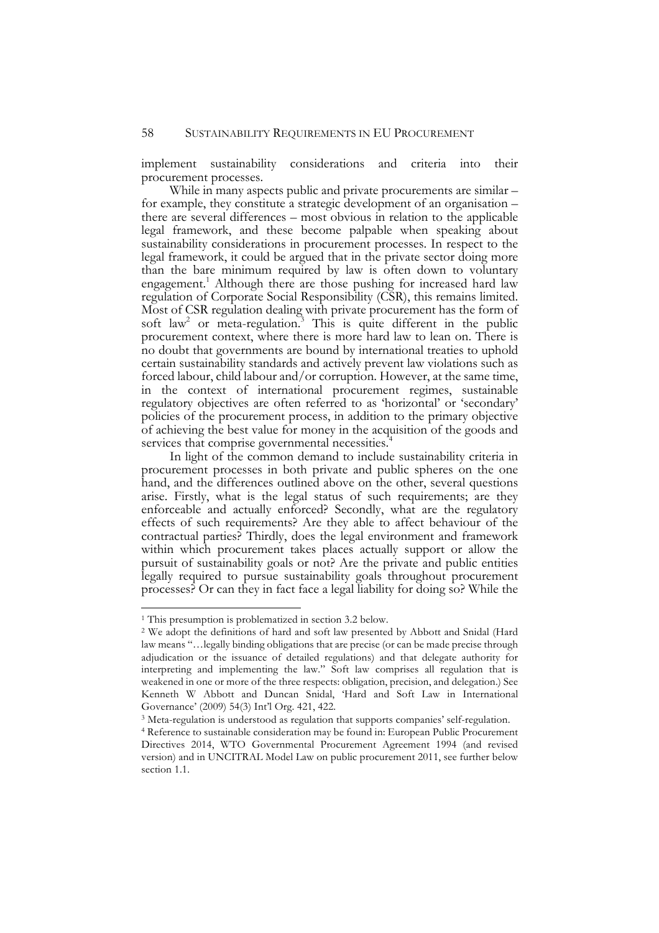implement sustainability considerations and criteria into their procurement processes.

While in many aspects public and private procurements are similar – for example, they constitute a strategic development of an organisation – there are several differences – most obvious in relation to the applicable legal framework, and these become palpable when speaking about sustainability considerations in procurement processes. In respect to the legal framework, it could be argued that in the private sector doing more than the bare minimum required by law is often down to voluntary engagement.<sup>1</sup> Although there are those pushing for increased hard law regulation of Corporate Social Responsibility (CSR), this remains limited. Most of CSR regulation dealing with private procurement has the form of soft law<sup>2</sup> or meta-regulation.<sup>3</sup> This is quite different in the public procurement context, where there is more hard law to lean on. There is no doubt that governments are bound by international treaties to uphold certain sustainability standards and actively prevent law violations such as forced labour, child labour and/or corruption. However, at the same time, in the context of international procurement regimes, sustainable regulatory objectives are often referred to as 'horizontal' or 'secondary' policies of the procurement process, in addition to the primary objective of achieving the best value for money in the acquisition of the goods and services that comprise governmental necessities.<sup>4</sup>

In light of the common demand to include sustainability criteria in procurement processes in both private and public spheres on the one hand, and the differences outlined above on the other, several questions arise. Firstly, what is the legal status of such requirements; are they enforceable and actually enforced? Secondly, what are the regulatory effects of such requirements? Are they able to affect behaviour of the contractual parties? Thirdly, does the legal environment and framework within which procurement takes places actually support or allow the pursuit of sustainability goals or not? Are the private and public entities legally required to pursue sustainability goals throughout procurement processes? Or can they in fact face a legal liability for doing so? While the

 <sup>1</sup> This presumption is problematized in section 3.2 below.

<sup>2</sup> We adopt the definitions of hard and soft law presented by Abbott and Snidal (Hard law means "…legally binding obligations that are precise (or can be made precise through adjudication or the issuance of detailed regulations) and that delegate authority for interpreting and implementing the law." Soft law comprises all regulation that is weakened in one or more of the three respects: obligation, precision, and delegation.) See Kenneth W Abbott and Duncan Snidal, 'Hard and Soft Law in International Governance' (2009) 54(3) Int'l Org. 421, 422.

<sup>3</sup> Meta-regulation is understood as regulation that supports companies' self-regulation.

<sup>4</sup> Reference to sustainable consideration may be found in: European Public Procurement Directives 2014, WTO Governmental Procurement Agreement 1994 (and revised version) and in UNCITRAL Model Law on public procurement 2011, see further below section 1.1.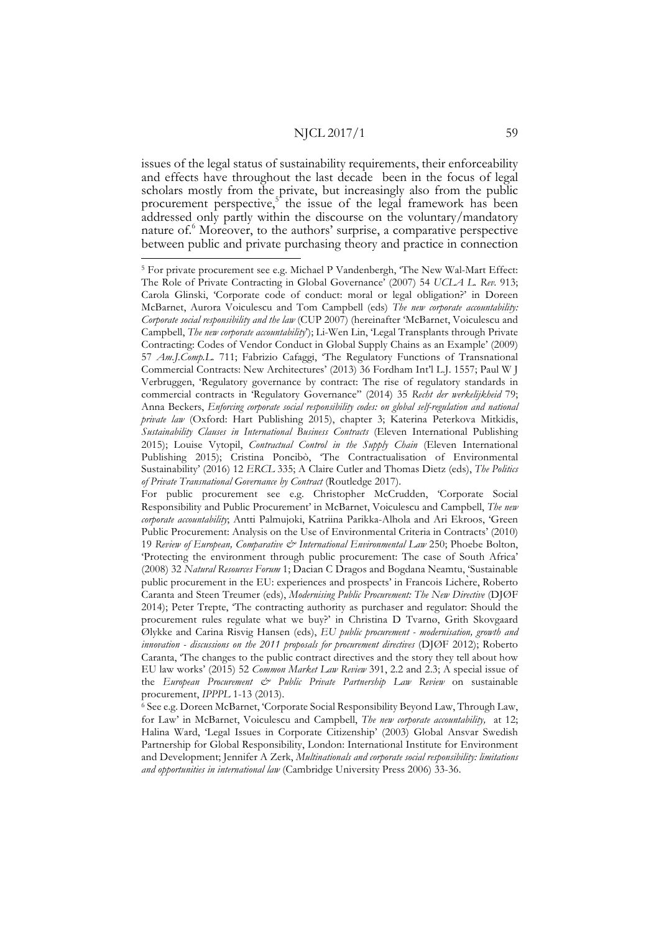issues of the legal status of sustainability requirements, their enforceability and effects have throughout the last decade been in the focus of legal scholars mostly from the private, but increasingly also from the public procurement perspective, $5<sup>1</sup>$  the issue of the legal framework has been addressed only partly within the discourse on the voluntary/mandatory nature of.6 Moreover, to the authors' surprise, a comparative perspective between public and private purchasing theory and practice in connection 5 For private procurement see e.g. Michael P Vandenbergh, 'The New Wal-Mart Effect:

The Role of Private Contracting in Global Governance' (2007) 54 *UCLA L. Rev.* 913; Carola Glinski, 'Corporate code of conduct: moral or legal obligation?' in Doreen McBarnet, Aurora Voiculescu and Tom Campbell (eds) *The new corporate accountability: Corporate social responsibility and the law* (CUP 2007) (hereinafter 'McBarnet, Voiculescu and Campbell, *The new corporate accountability*'); Li-Wen Lin, 'Legal Transplants through Private Contracting: Codes of Vendor Conduct in Global Supply Chains as an Example' (2009) 57 *Am.J.Comp.L.* 711; Fabrizio Cafaggi, 'The Regulatory Functions of Transnational Commercial Contracts: New Architectures' (2013) 36 Fordham Int'l L.J. 1557; Paul W J Verbruggen, 'Regulatory governance by contract: The rise of regulatory standards in commercial contracts in 'Regulatory Governance'' (2014) 35 *Recht der werkelijkheid* 79; Anna Beckers, *Enforcing corporate social responsibility codes: on global self-regulation and national private law* (Oxford: Hart Publishing 2015), chapter 3; Katerina Peterkova Mitkidis, *Sustainability Clauses in International Business Contracts* (Eleven International Publishing 2015); Louise Vytopil, *Contractual Control in the Supply Chain* (Eleven International Publishing 2015); Cristina Poncibò, 'The Contractualisation of Environmental Sustainability' (2016) 12 *ERCL* 335; A Claire Cutler and Thomas Dietz (eds), *The Politics of Private Transnational Governance by Contract* (Routledge 2017).

For public procurement see e.g. Christopher McCrudden, 'Corporate Social Responsibility and Public Procurement' in McBarnet, Voiculescu and Campbell, *The new corporate accountability*; Antti Palmujoki, Katriina Parikka-Alhola and Ari Ekroos, 'Green Public Procurement: Analysis on the Use of Environmental Criteria in Contracts' (2010) 19 *Review of European, Comparative & International Environmental Law* 250; Phoebe Bolton, 'Protecting the environment through public procurement: The case of South Africa' (2008) 32 *Natural Resources Forum* 1; Dacian C Dragos and Bogdana Neamtu, 'Sustainable public procurement in the EU: experiences and prospects' in Francois Lichère, Roberto Caranta and Steen Treumer (eds), *Modernising Public Procurement: The New Directive* (DJØF 2014); Peter Trepte, 'The contracting authority as purchaser and regulator: Should the procurement rules regulate what we buy?' in Christina D Tvarnø, Grith Skovgaard Ølykke and Carina Risvig Hansen (eds), *EU public procurement - modernisation, growth and innovation - discussions on the 2011 proposals for procurement directives* (DJØF 2012); Roberto Caranta, 'The changes to the public contract directives and the story they tell about how EU law works' (2015) 52 *Common Market Law Review* 391, 2.2 and 2.3; A special issue of the *European Procurement & Public Private Partnership Law Review* on sustainable procurement, *IPPPL* 1-13 (2013).

<sup>6</sup> See e.g. Doreen McBarnet, 'Corporate Social Responsibility Beyond Law, Through Law, for Law' in McBarnet, Voiculescu and Campbell, *The new corporate accountability,* at 12; Halina Ward, 'Legal Issues in Corporate Citizenship' (2003) Global Ansvar Swedish Partnership for Global Responsibility, London: International Institute for Environment and Development; Jennifer A Zerk, *Multinationals and corporate social responsibility: limitations and opportunities in international law* (Cambridge University Press 2006) 33-36.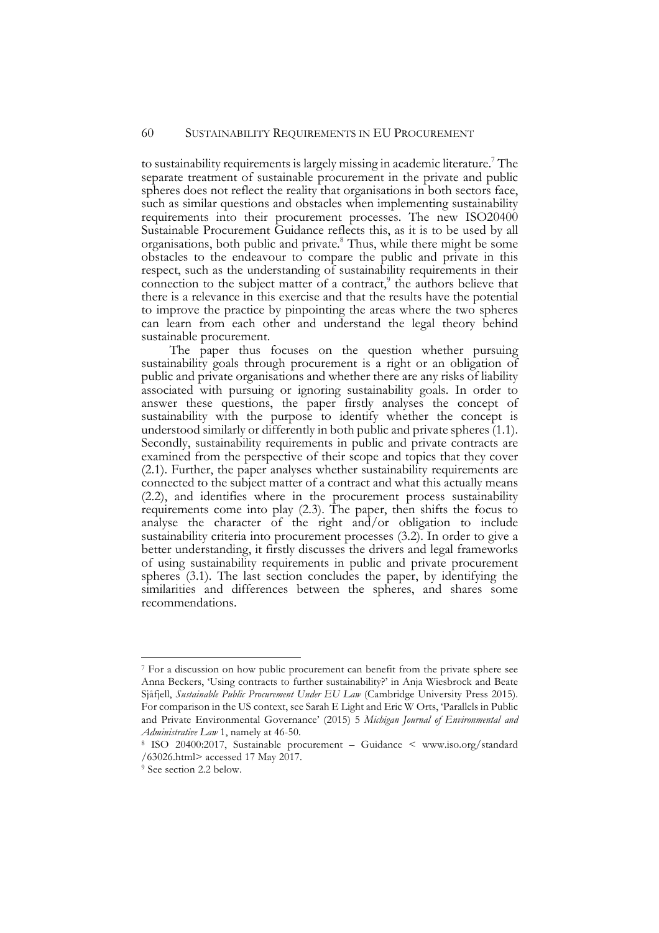to sustainability requirements is largely missing in academic literature.<sup>7</sup> The separate treatment of sustainable procurement in the private and public spheres does not reflect the reality that organisations in both sectors face, such as similar questions and obstacles when implementing sustainability requirements into their procurement processes. The new ISO20400 Sustainable Procurement Guidance reflects this, as it is to be used by all organisations, both public and private. <sup>8</sup> Thus, while there might be some obstacles to the endeavour to compare the public and private in this respect, such as the understanding of sustainability requirements in their connection to the subject matter of a contract, $\delta$  the authors believe that there is a relevance in this exercise and that the results have the potential to improve the practice by pinpointing the areas where the two spheres can learn from each other and understand the legal theory behind sustainable procurement.

The paper thus focuses on the question whether pursuing sustainability goals through procurement is a right or an obligation of public and private organisations and whether there are any risks of liability associated with pursuing or ignoring sustainability goals. In order to answer these questions, the paper firstly analyses the concept of sustainability with the purpose to identify whether the concept is understood similarly or differently in both public and private spheres (1.1). Secondly, sustainability requirements in public and private contracts are examined from the perspective of their scope and topics that they cover (2.1). Further, the paper analyses whether sustainability requirements are connected to the subject matter of a contract and what this actually means (2.2), and identifies where in the procurement process sustainability requirements come into play (2.3). The paper, then shifts the focus to analyse the character of the right and/or obligation to include sustainability criteria into procurement processes (3.2). In order to give a better understanding, it firstly discusses the drivers and legal frameworks of using sustainability requirements in public and private procurement spheres (3.1). The last section concludes the paper, by identifying the similarities and differences between the spheres, and shares some recommendations.

 <sup>7</sup> For a discussion on how public procurement can benefit from the private sphere see Anna Beckers, 'Using contracts to further sustainability?' in Anja Wiesbrock and Beate Sjåfjell, *Sustainable Public Procurement Under EU Law* (Cambridge University Press 2015). For comparison in the US context, see Sarah E Light and Eric W Orts, 'Parallels in Public and Private Environmental Governance' (2015) 5 *Michigan Journal of Environmental and Administrative Law* 1, namely at 46-50.

<sup>8</sup> ISO 20400:2017, Sustainable procurement – Guidance < www.iso.org/standard /63026.html> accessed 17 May 2017.

<sup>9</sup> See section 2.2 below.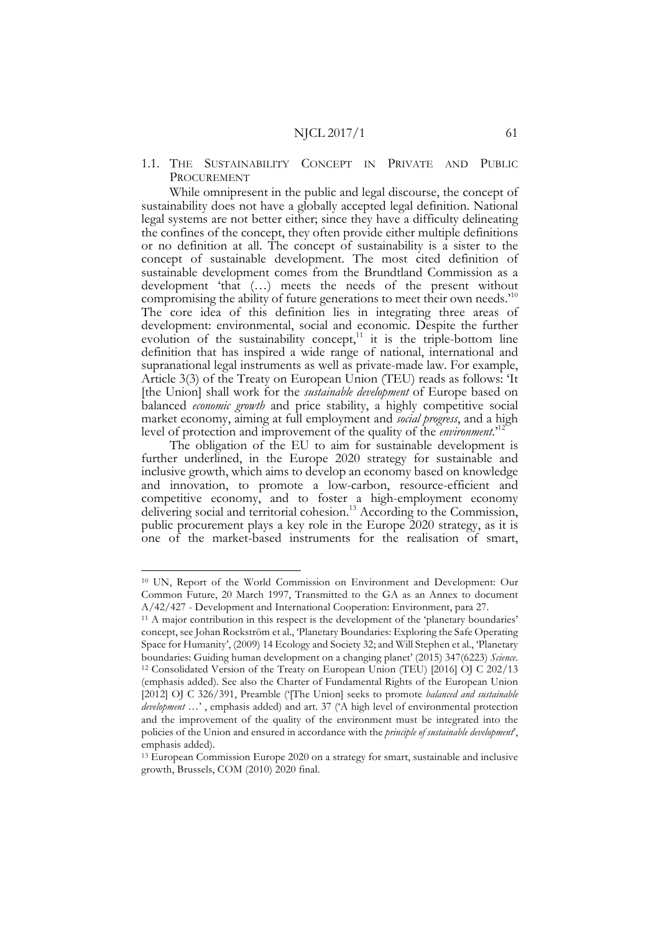1.1. THE SUSTAINABILITY CONCEPT IN PRIVATE AND PUBLIC PROCUREMENT

While omnipresent in the public and legal discourse, the concept of sustainability does not have a globally accepted legal definition. National legal systems are not better either; since they have a difficulty delineating the confines of the concept, they often provide either multiple definitions or no definition at all. The concept of sustainability is a sister to the concept of sustainable development. The most cited definition of sustainable development comes from the Brundtland Commission as a development 'that (…) meets the needs of the present without compromising the ability of future generations to meet their own needs.<sup>10</sup> The core idea of this definition lies in integrating three areas of development: environmental, social and economic. Despite the further evolution of the sustainability concept, $11$  it is the triple-bottom line definition that has inspired a wide range of national, international and supranational legal instruments as well as private-made law. For example, Article 3(3) of the Treaty on European Union (TEU) reads as follows: 'It [the Union] shall work for the *sustainable development* of Europe based on balanced *economic growth* and price stability, a highly competitive social market economy, aiming at full employment and *social progress*, and a high level of protection and improvement of the quality of the *environment*.'12

The obligation of the EU to aim for sustainable development is further underlined, in the Europe 2020 strategy for sustainable and inclusive growth, which aims to develop an economy based on knowledge and innovation, to promote a low-carbon, resource-efficient and competitive economy, and to foster a high-employment economy delivering social and territorial cohesion.<sup>13</sup> According to the Commission, public procurement plays a key role in the Europe 2020 strategy, as it is one of the market-based instruments for the realisation of smart,

 <sup>10</sup> UN, Report of the World Commission on Environment and Development: Our Common Future, 20 March 1997, Transmitted to the GA as an Annex to document

A/42/427 - Development and International Cooperation: Environment, para 27. 11 A major contribution in this respect is the development of the 'planetary boundaries' concept, see Johan Rockström et al., 'Planetary Boundaries: Exploring the Safe Operating Space for Humanity', (2009) 14 Ecology and Society 32; and Will Stephen et al., 'Planetary boundaries: Guiding human development on a changing planet' (2015) 347(6223) *Science*. <sup>12</sup> Consolidated Version of the Treaty on European Union (TEU) [2016] OJ C 202/13 (emphasis added). See also the Charter of Fundamental Rights of the European Union [2012] OJ C 326/391, Preamble ('[The Union] seeks to promote *balanced and sustainable development* …' , emphasis added) and art. 37 ('A high level of environmental protection and the improvement of the quality of the environment must be integrated into the policies of the Union and ensured in accordance with the *principle of sustainable development*', emphasis added).

<sup>13</sup> European Commission Europe 2020 on a strategy for smart, sustainable and inclusive growth, Brussels, COM (2010) 2020 final.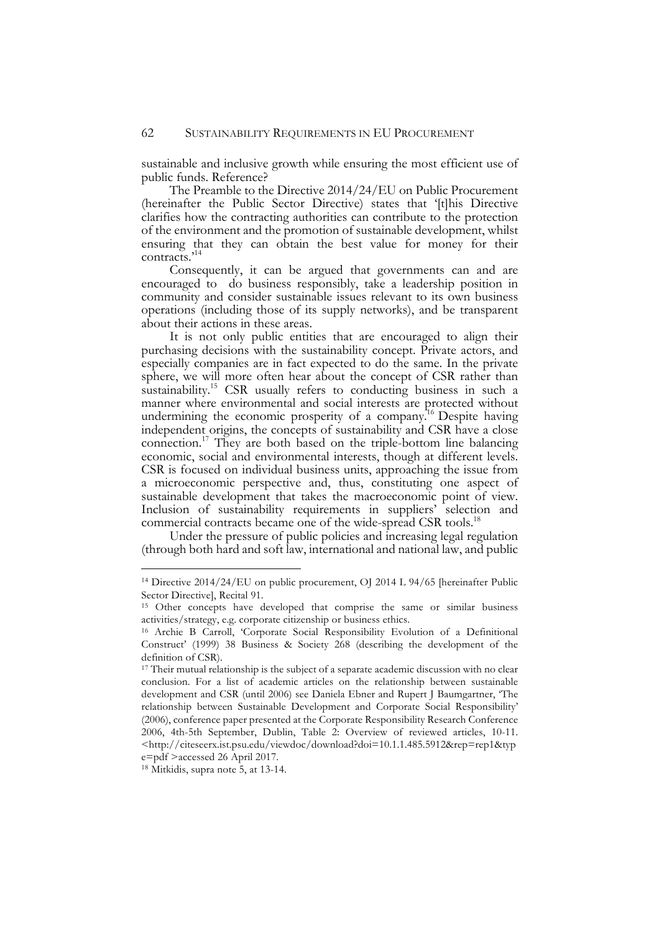sustainable and inclusive growth while ensuring the most efficient use of public funds. Reference?

The Preamble to the Directive 2014/24/EU on Public Procurement (hereinafter the Public Sector Directive) states that '[t]his Directive clarifies how the contracting authorities can contribute to the protection of the environment and the promotion of sustainable development, whilst ensuring that they can obtain the best value for money for their contracts.'14

Consequently, it can be argued that governments can and are encouraged to do business responsibly, take a leadership position in community and consider sustainable issues relevant to its own business operations (including those of its supply networks), and be transparent about their actions in these areas.

It is not only public entities that are encouraged to align their purchasing decisions with the sustainability concept. Private actors, and especially companies are in fact expected to do the same. In the private sphere, we will more often hear about the concept of CSR rather than sustainability.<sup>15</sup> CSR usually refers to conducting business in such a manner where environmental and social interests are protected without undermining the economic prosperity of a company.<sup>16</sup> Despite having independent origins, the concepts of sustainability and CSR have a close connection.17 They are both based on the triple-bottom line balancing economic, social and environmental interests, though at different levels. CSR is focused on individual business units, approaching the issue from a microeconomic perspective and, thus, constituting one aspect of sustainable development that takes the macroeconomic point of view. Inclusion of sustainability requirements in suppliers' selection and commercial contracts became one of the wide-spread CSR tools.<sup>18</sup>

Under the pressure of public policies and increasing legal regulation (through both hard and soft law, international and national law, and public

j

<sup>14</sup> Directive 2014/24/EU on public procurement, OJ 2014 L 94/65 [hereinafter Public Sector Directive], Recital 91.

<sup>&</sup>lt;sup>15</sup> Other concepts have developed that comprise the same or similar business activities/strategy, e.g. corporate citizenship or business ethics.

<sup>16</sup> Archie B Carroll, 'Corporate Social Responsibility Evolution of a Definitional Construct' (1999) 38 Business & Society 268 (describing the development of the definition of CSR).

<sup>&</sup>lt;sup>17</sup> Their mutual relationship is the subject of a separate academic discussion with no clear conclusion. For a list of academic articles on the relationship between sustainable development and CSR (until 2006) see Daniela Ebner and Rupert J Baumgartner, 'The relationship between Sustainable Development and Corporate Social Responsibility' (2006), conference paper presented at the Corporate Responsibility Research Conference 2006, 4th-5th September, Dublin, Table 2: Overview of reviewed articles, 10-11. <http://citeseerx.ist.psu.edu/viewdoc/download?doi=10.1.1.485.5912&rep=rep1&typ e=pdf >accessed 26 April 2017.

<sup>18</sup> Mitkidis, supra note 5, at 13-14.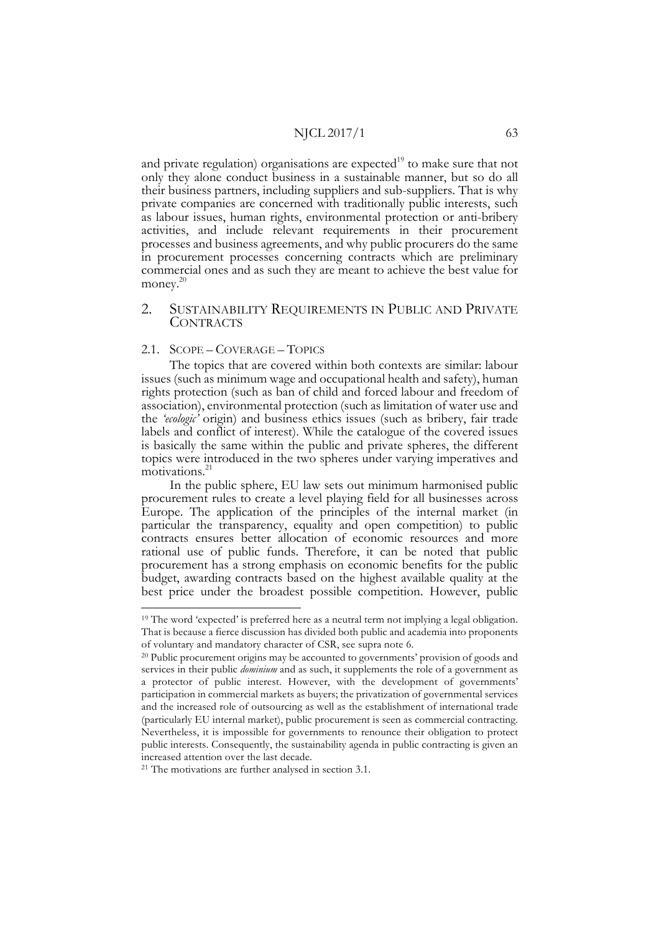and private regulation) organisations are expected<sup>19</sup> to make sure that not only they alone conduct business in a sustainable manner, but so do all their business partners, including suppliers and sub-suppliers. That is why private companies are concerned with traditionally public interests, such as labour issues, human rights, environmental protection or anti-bribery activities, and include relevant requirements in their procurement processes and business agreements, and why public procurers do the same in procurement processes concerning contracts which are preliminary commercial ones and as such they are meant to achieve the best value for money.<sup>20</sup>

## 2. SUSTAINABILITY REQUIREMENTS IN PUBLIC AND PRIVATE **CONTRACTS**

## 2.1. SCOPE – COVERAGE – TOPICS

The topics that are covered within both contexts are similar: labour issues (such as minimum wage and occupational health and safety), human rights protection (such as ban of child and forced labour and freedom of association), environmental protection (such as limitation of water use and the *'ecologic'* origin) and business ethics issues (such as bribery, fair trade labels and conflict of interest). While the catalogue of the covered issues is basically the same within the public and private spheres, the different topics were introduced in the two spheres under varying imperatives and motivations.<sup>21</sup>

In the public sphere, EU law sets out minimum harmonised public procurement rules to create a level playing field for all businesses across Europe. The application of the principles of the internal market (in particular the transparency, equality and open competition) to public contracts ensures better allocation of economic resources and more rational use of public funds. Therefore, it can be noted that public procurement has a strong emphasis on economic benefits for the public budget, awarding contracts based on the highest available quality at the best price under the broadest possible competition. However, public

 <sup>19</sup> The word 'expected' is preferred here as a neutral term not implying a legal obligation. That is because a fierce discussion has divided both public and academia into proponents of voluntary and mandatory character of CSR, see supra note 6. 20 Public procurement origins may be accounted to governments' provision of goods and

services in their public *dominium* and as such, it supplements the role of a government as a protector of public interest. However, with the development of governments' participation in commercial markets as buyers; the privatization of governmental services and the increased role of outsourcing as well as the establishment of international trade (particularly EU internal market), public procurement is seen as commercial contracting. Nevertheless, it is impossible for governments to renounce their obligation to protect public interests. Consequently, the sustainability agenda in public contracting is given an increased attention over the last decade.

<sup>&</sup>lt;sup>21</sup> The motivations are further analysed in section 3.1.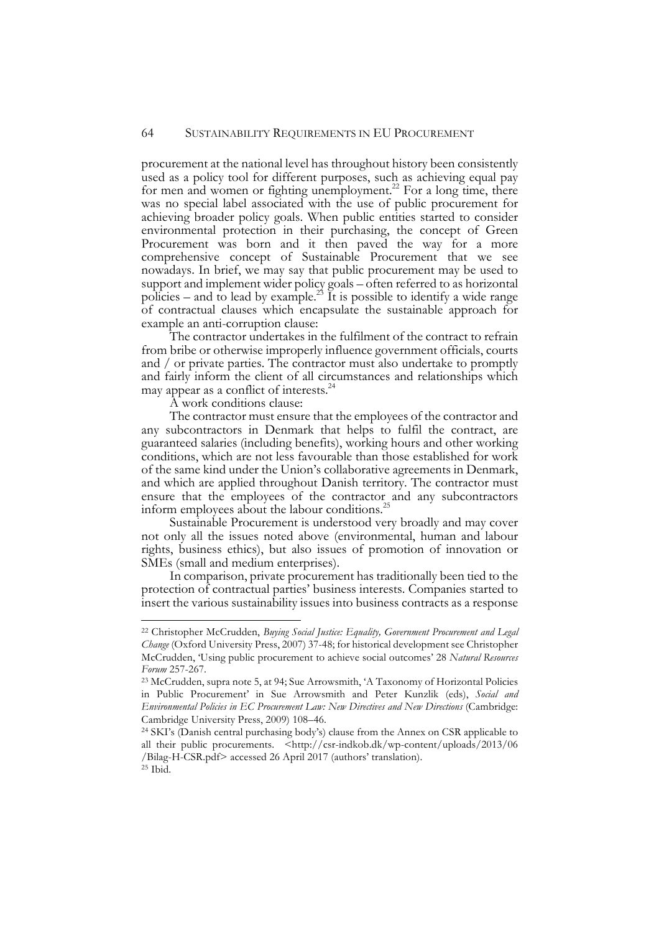procurement at the national level has throughout history been consistently used as a policy tool for different purposes, such as achieving equal pay for men and women or fighting unemployment.<sup>22</sup> For a long time, there was no special label associated with the use of public procurement for achieving broader policy goals. When public entities started to consider environmental protection in their purchasing, the concept of Green Procurement was born and it then paved the way for a more comprehensive concept of Sustainable Procurement that we see nowadays. In brief, we may say that public procurement may be used to support and implement wider policy goals – often referred to as horizontal policies – and to lead by example.<sup>23</sup> It is possible to identify a wide range of contractual clauses which encapsulate the sustainable approach for example an anti-corruption clause:

The contractor undertakes in the fulfilment of the contract to refrain from bribe or otherwise improperly influence government officials, courts and / or private parties. The contractor must also undertake to promptly and fairly inform the client of all circumstances and relationships which may appear as a conflict of interests.<sup>24</sup>

A work conditions clause:

The contractor must ensure that the employees of the contractor and any subcontractors in Denmark that helps to fulfil the contract, are guaranteed salaries (including benefits), working hours and other working conditions, which are not less favourable than those established for work of the same kind under the Union's collaborative agreements in Denmark, and which are applied throughout Danish territory. The contractor must ensure that the employees of the contractor and any subcontractors inform employees about the labour conditions.25

Sustainable Procurement is understood very broadly and may cover not only all the issues noted above (environmental, human and labour rights, business ethics), but also issues of promotion of innovation or SMEs (small and medium enterprises).

In comparison, private procurement has traditionally been tied to the protection of contractual parties' business interests. Companies started to insert the various sustainability issues into business contracts as a response

 <sup>22</sup> Christopher McCrudden, *Buying Social Justice: Equality, Government Procurement and Legal Change* (Oxford University Press, 2007) 37-48; for historical development see Christopher McCrudden, 'Using public procurement to achieve social outcomes' 28 *Natural Resources Forum* 257-267.

<sup>23</sup> McCrudden, supra note 5, at 94; Sue Arrowsmith, 'A Taxonomy of Horizontal Policies in Public Procurement' in Sue Arrowsmith and Peter Kunzlik (eds), *Social and Environmental Policies in EC Procurement Law: New Directives and New Directions* (Cambridge: Cambridge University Press, 2009) 108–46.

<sup>24</sup> SKI's (Danish central purchasing body's) clause from the Annex on CSR applicable to all their public procurements. <http://csr-indkob.dk/wp-content/uploads/2013/06 /Bilag-H-CSR.pdf> accessed 26 April 2017 (authors' translation).  $25$  Ibid.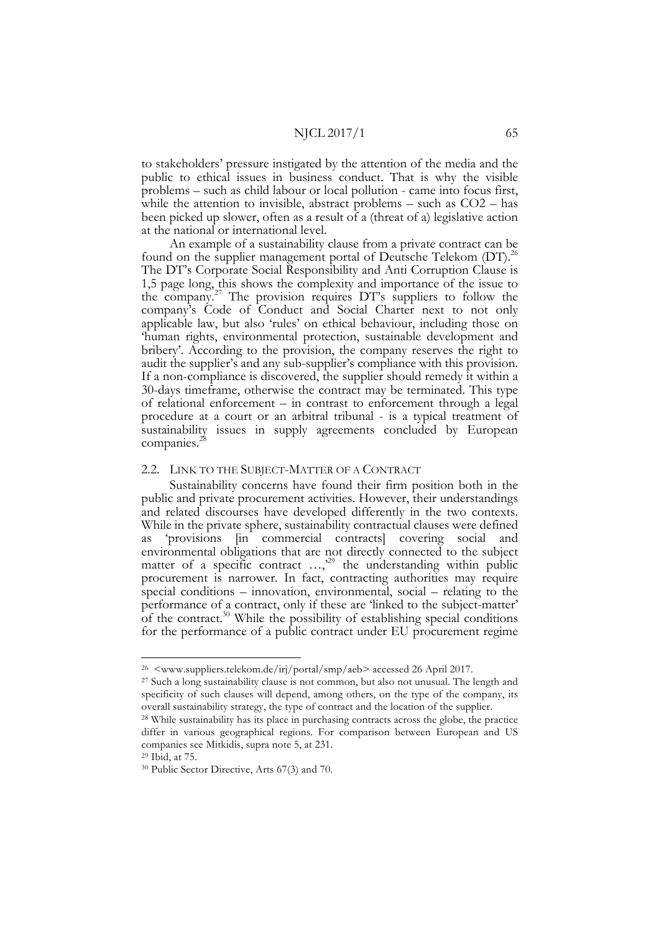to stakeholders' pressure instigated by the attention of the media and the public to ethical issues in business conduct. That is why the visible problems – such as child labour or local pollution - came into focus first, while the attention to invisible, abstract problems – such as  $CO2 - has$ been picked up slower, often as a result of a (threat of a) legislative action at the national or international level.

An example of a sustainability clause from a private contract can be found on the supplier management portal of Deutsche Telekom (DT).<sup>26</sup> The DT's Corporate Social Responsibility and Anti Corruption Clause is 1,5 page long, this shows the complexity and importance of the issue to the company.27 The provision requires DT's suppliers to follow the company's Code of Conduct and Social Charter next to not only applicable law, but also 'rules' on ethical behaviour, including those on 'human rights, environmental protection, sustainable development and bribery'. According to the provision, the company reserves the right to audit the supplier's and any sub-supplier's compliance with this provision. If a non-compliance is discovered, the supplier should remedy it within a 30-days timeframe, otherwise the contract may be terminated. This type of relational enforcement – in contrast to enforcement through a legal procedure at a court or an arbitral tribunal - is a typical treatment of sustainability issues in supply agreements concluded by European companies.<sup>2</sup>

## 2.2. LINK TO THE SUBJECT-MATTER OF A CONTRACT

Sustainability concerns have found their firm position both in the public and private procurement activities. However, their understandings and related discourses have developed differently in the two contexts. While in the private sphere, sustainability contractual clauses were defined as 'provisions [in commercial contracts] covering social and environmental obligations that are not directly connected to the subject matter of a specific contract  $...,^{29}$  the understanding within public procurement is narrower. In fact, contracting authorities may require special conditions – innovation, environmental, social – relating to the performance of a contract, only if these are 'linked to the subject-matter' of the contract.30 While the possibility of establishing special conditions for the performance of a public contract under EU procurement regime

<sup>29</sup> Ibid, at 75.

 <sup>26 &</sup>lt;www.suppliers.telekom.de/irj/portal/smp/aeb> accessed 26 April 2017.

<sup>&</sup>lt;sup>27</sup> Such a long sustainability clause is not common, but also not unusual. The length and specificity of such clauses will depend, among others, on the type of the company, its overall sustainability strategy, the type of contract and the location of the supplier.

<sup>28</sup> While sustainability has its place in purchasing contracts across the globe, the practice differ in various geographical regions. For comparison between European and US companies see Mitkidis, supra note 5, at 231.

<sup>30</sup> Public Sector Directive, Arts 67(3) and 70.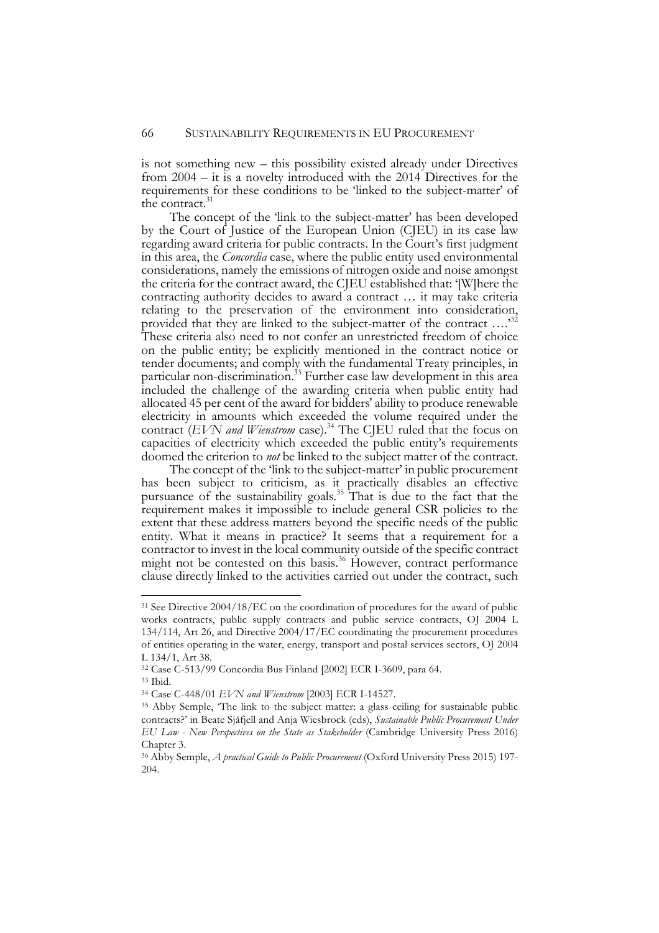is not something new – this possibility existed already under Directives from 2004 – it is a novelty introduced with the 2014 Directives for the requirements for these conditions to be 'linked to the subject-matter' of the contract.<sup>31</sup>

The concept of the 'link to the subject-matter' has been developed by the Court of Justice of the European Union (CJEU) in its case law regarding award criteria for public contracts. In the Court's first judgment in this area, the *Concordia* case, where the public entity used environmental considerations, namely the emissions of nitrogen oxide and noise amongst the criteria for the contract award, the CJEU established that: '[W]here the contracting authority decides to award a contract … it may take criteria relating to the preservation of the environment into consideration, provided that they are linked to the subject-matter of the contract ....<sup>32</sup> These criteria also need to not confer an unrestricted freedom of choice on the public entity; be explicitly mentioned in the contract notice or tender documents; and comply with the fundamental Treaty principles, in particular non-discrimination.<sup>33</sup> Further case law development in this area included the challenge of the awarding criteria when public entity had allocated 45 per cent of the award for bidders' ability to produce renewable electricity in amounts which exceeded the volume required under the contract *(EVN and Wienstrom* case).<sup>34</sup> The CJEU ruled that the focus on capacities of electricity which exceeded the public entity's requirements doomed the criterion to *not* be linked to the subject matter of the contract.

The concept of the 'link to the subject-matter' in public procurement has been subject to criticism, as it practically disables an effective pursuance of the sustainability goals.<sup>35</sup> That is due to the fact that the requirement makes it impossible to include general CSR policies to the extent that these address matters beyond the specific needs of the public entity. What it means in practice? It seems that a requirement for a contractor to invest in the local community outside of the specific contract might not be contested on this basis.<sup>36</sup> However, contract performance clause directly linked to the activities carried out under the contract, such

<sup>&</sup>lt;sup>31</sup> See Directive 2004/18/EC on the coordination of procedures for the award of public works contracts, public supply contracts and public service contracts, OJ 2004 L 134/114, Art 26, and Directive 2004/17/EC coordinating the procurement procedures of entities operating in the water, energy, transport and postal services sectors, OJ 2004 L 134/1, Art 38.

<sup>32</sup> Case C-513/99 Concordia Bus Finland [2002] ECR I-3609, para 64.

<sup>33</sup> Ibid.

<sup>&</sup>lt;sup>34</sup> Case C-448/01 *EVN and Wienstrom* [2003] ECR I-14527.<br><sup>35</sup> Abby Semple, 'The link to the subject matter: a glass ceiling for sustainable public contracts?' in Beate Sjåfjell and Anja Wiesbrock (eds), *Sustainable Public Procurement Under EU Law - New Perspectives on the State as Stakeholder* (Cambridge University Press 2016) Chapter 3.

<sup>36</sup> Abby Semple, *A practical Guide to Public Procurement* (Oxford University Press 2015) 197- 204.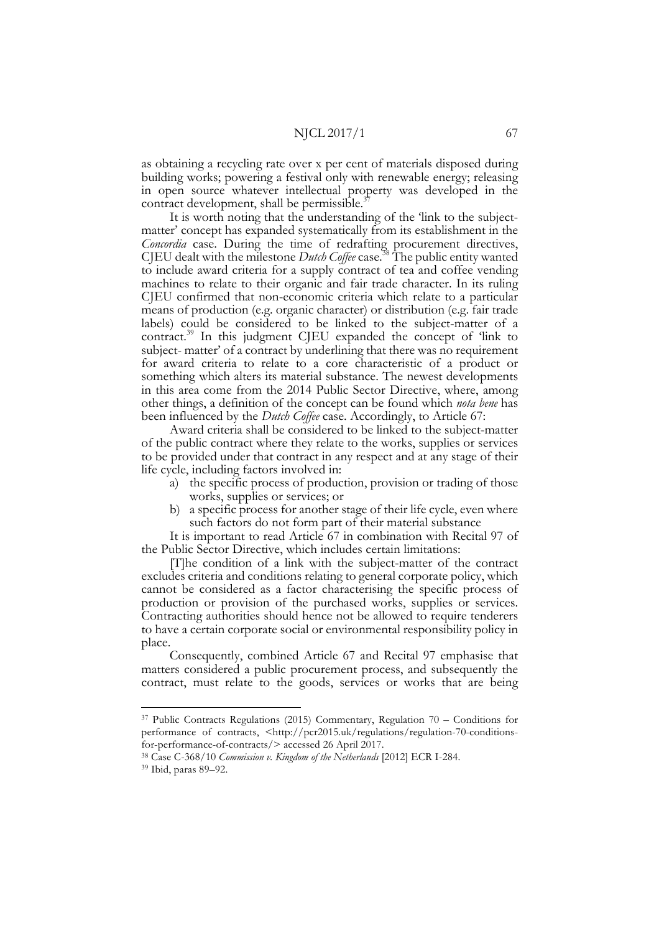as obtaining a recycling rate over x per cent of materials disposed during building works; powering a festival only with renewable energy; releasing in open source whatever intellectual property was developed in the contract development, shall be permissible.<sup>3</sup>

It is worth noting that the understanding of the 'link to the subject- matter' concept has expanded systematically from its establishment in the *Concordia* case. During the time of redrafting procurement directives, CJEU dealt with the milestone *Dutch Coffee* case. <sup>38</sup> The public entity wanted to include award criteria for a supply contract of tea and coffee vending machines to relate to their organic and fair trade character. In its ruling CJEU confirmed that non-economic criteria which relate to a particular means of production (e.g. organic character) or distribution (e.g. fair trade labels) could be considered to be linked to the subject-matter of a contract.<sup>39</sup> In this judgment CJEU expanded the concept of 'link to subject- matter' of a contract by underlining that there was no requirement for award criteria to relate to a core characteristic of a product or something which alters its material substance. The newest developments in this area come from the 2014 Public Sector Directive, where, among other things, a definition of the concept can be found which *nota bene* has been influenced by the *Dutch Coffee* case. Accordingly, to Article 67:

Award criteria shall be considered to be linked to the subject-matter of the public contract where they relate to the works, supplies or services to be provided under that contract in any respect and at any stage of their life cycle, including factors involved in:

- a) the specific process of production, provision or trading of those works, supplies or services; or
- b) a specific process for another stage of their life cycle, even where such factors do not form part of their material substance

It is important to read Article 67 in combination with Recital 97 of the Public Sector Directive, which includes certain limitations:

[T]he condition of a link with the subject-matter of the contract excludes criteria and conditions relating to general corporate policy, which cannot be considered as a factor characterising the specific process of production or provision of the purchased works, supplies or services. Contracting authorities should hence not be allowed to require tenderers to have a certain corporate social or environmental responsibility policy in place.

Consequently, combined Article 67 and Recital 97 emphasise that matters considered a public procurement process, and subsequently the contract, must relate to the goods, services or works that are being

 <sup>37</sup> Public Contracts Regulations (2015) Commentary, Regulation 70 – Conditions for performance of contracts, <http://pcr2015.uk/regulations/regulation-70-conditionsfor-performance-of-contracts/> accessed 26 April 2017.

<sup>38</sup> Case C-368/10 *Commission v. Kingdom of the Netherlands* [2012] ECR I-284.

<sup>39</sup> Ibid, paras 89–92.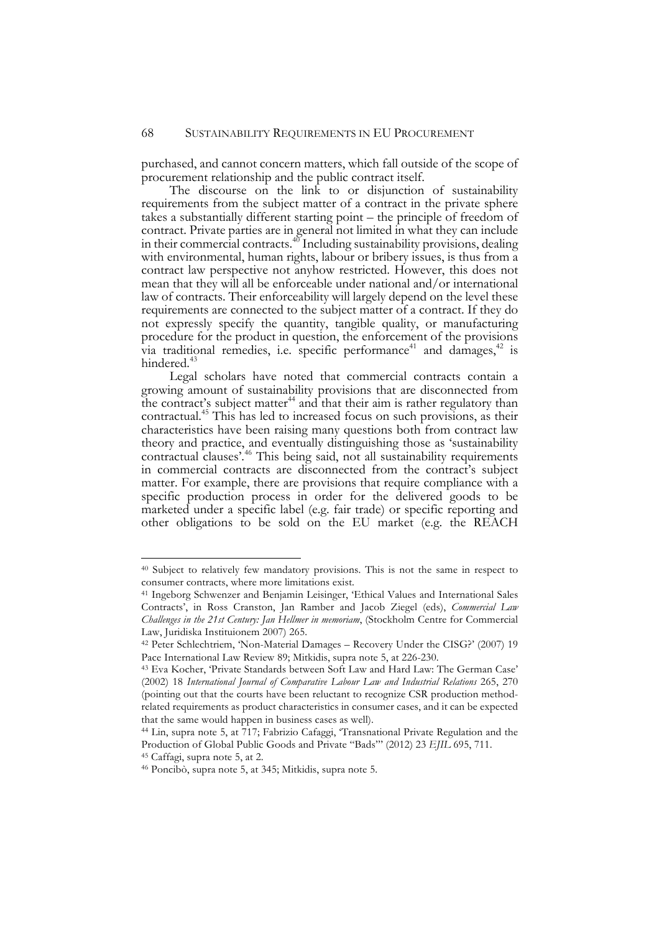purchased, and cannot concern matters, which fall outside of the scope of procurement relationship and the public contract itself.

The discourse on the link to or disjunction of sustainability requirements from the subject matter of a contract in the private sphere takes a substantially different starting point – the principle of freedom of contract. Private parties are in general not limited in what they can include in their commercial contracts. $40^{\circ}$  Including sustainability provisions, dealing with environmental, human rights, labour or bribery issues, is thus from a contract law perspective not anyhow restricted. However, this does not mean that they will all be enforceable under national and/or international law of contracts. Their enforceability will largely depend on the level these requirements are connected to the subject matter of a contract. If they do not expressly specify the quantity, tangible quality, or manufacturing procedure for the product in question, the enforcement of the provisions via traditional remedies, i.e. specific performance<sup>41</sup> and damages,  $42$  is hindered.<sup>43</sup>

Legal scholars have noted that commercial contracts contain a growing amount of sustainability provisions that are disconnected from the contract's subject matter $44$  and that their aim is rather regulatory than contractual.<sup>45</sup> This has led to increased focus on such provisions, as their characteristics have been raising many questions both from contract law theory and practice, and eventually distinguishing those as 'sustainability contractual clauses'.46 This being said, not all sustainability requirements in commercial contracts are disconnected from the contract's subject matter. For example, there are provisions that require compliance with a specific production process in order for the delivered goods to be marketed under a specific label (e.g. fair trade) or specific reporting and other obligations to be sold on the EU market (e.g. the REACH

<sup>45</sup> Caffagi, supra note 5, at 2.

 <sup>40</sup> Subject to relatively few mandatory provisions. This is not the same in respect to consumer contracts, where more limitations exist.

<sup>41</sup> Ingeborg Schwenzer and Benjamin Leisinger, 'Ethical Values and International Sales Contracts', in Ross Cranston, Jan Ramber and Jacob Ziegel (eds), *Commercial Law Challenges in the 21st Century: Jan Hellmer in memoriam*, (Stockholm Centre for Commercial Law, Juridiska Instituionem 2007) 265.

<sup>42</sup> Peter Schlechtriem, 'Non-Material Damages – Recovery Under the CISG?' (2007) 19 Pace International Law Review 89; Mitkidis, supra note 5, at 226-230.

<sup>43</sup> Eva Kocher, 'Private Standards between Soft Law and Hard Law: The German Case' (2002) 18 *International Journal of Comparative Labour Law and Industrial Relations* 265, 270 (pointing out that the courts have been reluctant to recognize CSR production methodrelated requirements as product characteristics in consumer cases, and it can be expected that the same would happen in business cases as well).

<sup>44</sup> Lin, supra note 5, at 717; Fabrizio Cafaggi, 'Transnational Private Regulation and the Production of Global Public Goods and Private "Bads"' (2012) 23 *EJIL* 695, 711.

<sup>46</sup> Poncibò, supra note 5, at 345; Mitkidis, supra note 5.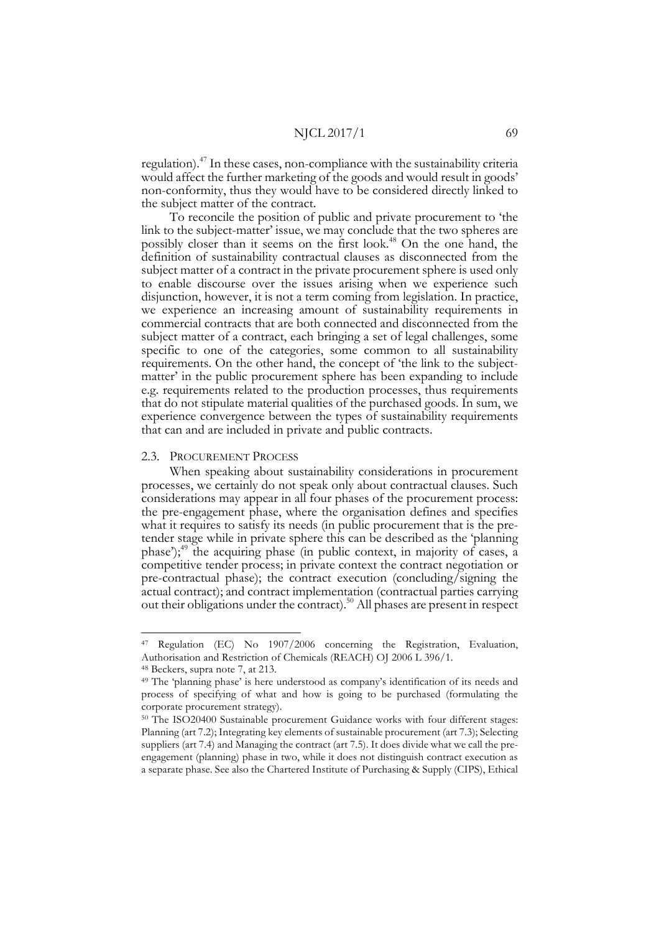regulation).47 In these cases, non-compliance with the sustainability criteria would affect the further marketing of the goods and would result in goods' non-conformity, thus they would have to be considered directly linked to the subject matter of the contract.

To reconcile the position of public and private procurement to 'the link to the subject-matter' issue, we may conclude that the two spheres are possibly closer than it seems on the first look.<sup>48</sup> On the one hand, the definition of sustainability contractual clauses as disconnected from the subject matter of a contract in the private procurement sphere is used only to enable discourse over the issues arising when we experience such disjunction, however, it is not a term coming from legislation. In practice, we experience an increasing amount of sustainability requirements in commercial contracts that are both connected and disconnected from the subject matter of a contract, each bringing a set of legal challenges, some specific to one of the categories, some common to all sustainability requirements. On the other hand, the concept of 'the link to the subject- matter' in the public procurement sphere has been expanding to include e.g. requirements related to the production processes, thus requirements that do not stipulate material qualities of the purchased goods. In sum, we experience convergence between the types of sustainability requirements that can and are included in private and public contracts.

#### 2.3. PROCUREMENT PROCESS

When speaking about sustainability considerations in procurement processes, we certainly do not speak only about contractual clauses. Such considerations may appear in all four phases of the procurement process: the pre-engagement phase, where the organisation defines and specifies what it requires to satisfy its needs (in public procurement that is the pre- tender stage while in private sphere this can be described as the 'planning phase');49 the acquiring phase (in public context, in majority of cases, a competitive tender process; in private context the contract negotiation or pre-contractual phase); the contract execution (concluding/signing the actual contract); and contract implementation (contractual parties carrying out their obligations under the contract).50 All phases are present in respect

 <sup>47</sup> Regulation (EC) No 1907/2006 concerning the Registration, Evaluation, Authorisation and Restriction of Chemicals (REACH) OJ 2006 L 396/1.

<sup>48</sup> Beckers, supra note 7, at 213.

<sup>49</sup> The 'planning phase' is here understood as company's identification of its needs and process of specifying of what and how is going to be purchased (formulating the corporate procurement strategy).<br><sup>50</sup> The ISO20400 Sustainable procurement Guidance works with four different stages:

Planning (art 7.2); Integrating key elements of sustainable procurement (art 7.3); Selecting suppliers (art 7.4) and Managing the contract (art 7.5). It does divide what we call the preengagement (planning) phase in two, while it does not distinguish contract execution as a separate phase. See also the Chartered Institute of Purchasing & Supply (CIPS), Ethical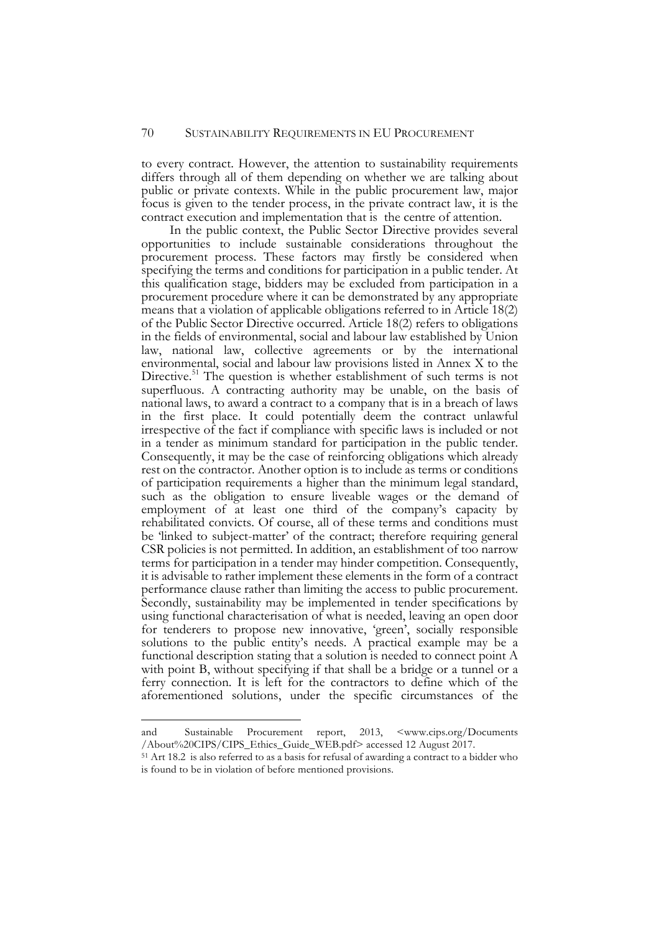to every contract. However, the attention to sustainability requirements differs through all of them depending on whether we are talking about public or private contexts. While in the public procurement law, major focus is given to the tender process, in the private contract law, it is the contract execution and implementation that is the centre of attention.

In the public context, the Public Sector Directive provides several opportunities to include sustainable considerations throughout the procurement process. These factors may firstly be considered when specifying the terms and conditions for participation in a public tender. At this qualification stage, bidders may be excluded from participation in a procurement procedure where it can be demonstrated by any appropriate means that a violation of applicable obligations referred to in Article 18(2) of the Public Sector Directive occurred. Article 18(2) refers to obligations in the fields of environmental, social and labour law established by Union law, national law, collective agreements or by the international environmental, social and labour law provisions listed in Annex X to the Directive.<sup>51</sup> The question is whether establishment of such terms is not superfluous. A contracting authority may be unable, on the basis of national laws, to award a contract to a company that is in a breach of laws in the first place. It could potentially deem the contract unlawful irrespective of the fact if compliance with specific laws is included or not in a tender as minimum standard for participation in the public tender. Consequently, it may be the case of reinforcing obligations which already rest on the contractor. Another option is to include as terms or conditions of participation requirements a higher than the minimum legal standard, such as the obligation to ensure liveable wages or the demand of employment of at least one third of the company's capacity by rehabilitated convicts. Of course, all of these terms and conditions must be 'linked to subject-matter' of the contract; therefore requiring general CSR policies is not permitted. In addition, an establishment of too narrow terms for participation in a tender may hinder competition. Consequently, it is advisable to rather implement these elements in the form of a contract performance clause rather than limiting the access to public procurement. Secondly, sustainability may be implemented in tender specifications by using functional characterisation of what is needed, leaving an open door for tenderers to propose new innovative, 'green', socially responsible solutions to the public entity's needs. A practical example may be a functional description stating that a solution is needed to connect point A with point B, without specifying if that shall be a bridge or a tunnel or a ferry connection. It is left for the contractors to define which of the aforementioned solutions, under the specific circumstances of the

-

and Sustainable Procurement report, 2013, <www.cips.org/Documents /About%20CIPS/CIPS\_Ethics\_Guide\_WEB.pdf> accessed 12 August 2017.

<sup>51</sup> Art 18.2 is also referred to as a basis for refusal of awarding a contract to a bidder who is found to be in violation of before mentioned provisions.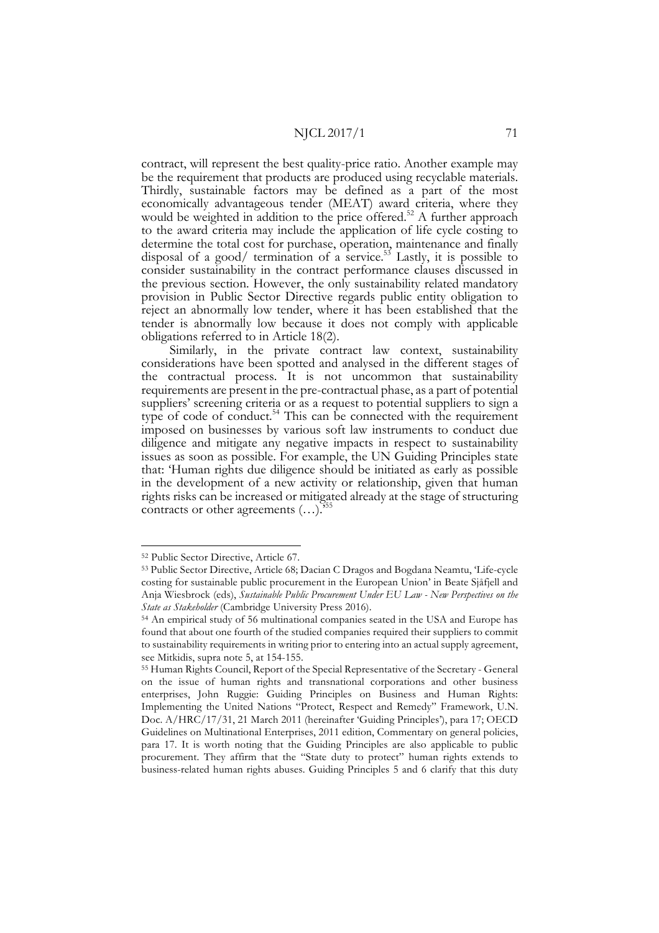contract, will represent the best quality-price ratio. Another example may be the requirement that products are produced using recyclable materials. Thirdly, sustainable factors may be defined as a part of the most economically advantageous tender (MEAT) award criteria, where they would be weighted in addition to the price offered.<sup>52</sup> A further approach to the award criteria may include the application of life cycle costing to determine the total cost for purchase, operation, maintenance and finally disposal of a good/ termination of a service.<sup>53</sup> Lastly, it is possible to consider sustainability in the contract performance clauses discussed in the previous section. However, the only sustainability related mandatory provision in Public Sector Directive regards public entity obligation to reject an abnormally low tender, where it has been established that the tender is abnormally low because it does not comply with applicable obligations referred to in Article 18(2).

Similarly, in the private contract law context, sustainability considerations have been spotted and analysed in the different stages of the contractual process. It is not uncommon that sustainability requirements are present in the pre-contractual phase, as a part of potential suppliers' screening criteria or as a request to potential suppliers to sign a type of code of conduct.<sup>54</sup> This can be connected with the requirement imposed on businesses by various soft law instruments to conduct due diligence and mitigate any negative impacts in respect to sustainability issues as soon as possible. For example, the UN Guiding Principles state that: 'Human rights due diligence should be initiated as early as possible in the development of a new activity or relationship, given that human rights risks can be increased or mitigated already at the stage of structuring contracts or other agreements  $(...)$ .

 <sup>52</sup> Public Sector Directive, Article 67.

<sup>53</sup> Public Sector Directive, Article 68; Dacian C Dragos and Bogdana Neamtu, 'Life-cycle costing for sustainable public procurement in the European Union' in Beate Sjåfjell and Anja Wiesbrock (eds), *Sustainable Public Procurement Under EU Law - New Perspectives on the State as Stakeholder* (Cambridge University Press 2016).

<sup>54</sup> An empirical study of 56 multinational companies seated in the USA and Europe has found that about one fourth of the studied companies required their suppliers to commit to sustainability requirements in writing prior to entering into an actual supply agreement, see Mitkidis, supra note 5, at 154-155.

<sup>55</sup> Human Rights Council, Report of the Special Representative of the Secretary - General on the issue of human rights and transnational corporations and other business enterprises, John Ruggie: Guiding Principles on Business and Human Rights: Implementing the United Nations "Protect, Respect and Remedy" Framework, U.N. Doc. A/HRC/17/31, 21 March 2011 (hereinafter 'Guiding Principles'), para 17; OECD Guidelines on Multinational Enterprises, 2011 edition, Commentary on general policies, para 17. It is worth noting that the Guiding Principles are also applicable to public procurement. They affirm that the "State duty to protect" human rights extends to business-related human rights abuses. Guiding Principles 5 and 6 clarify that this duty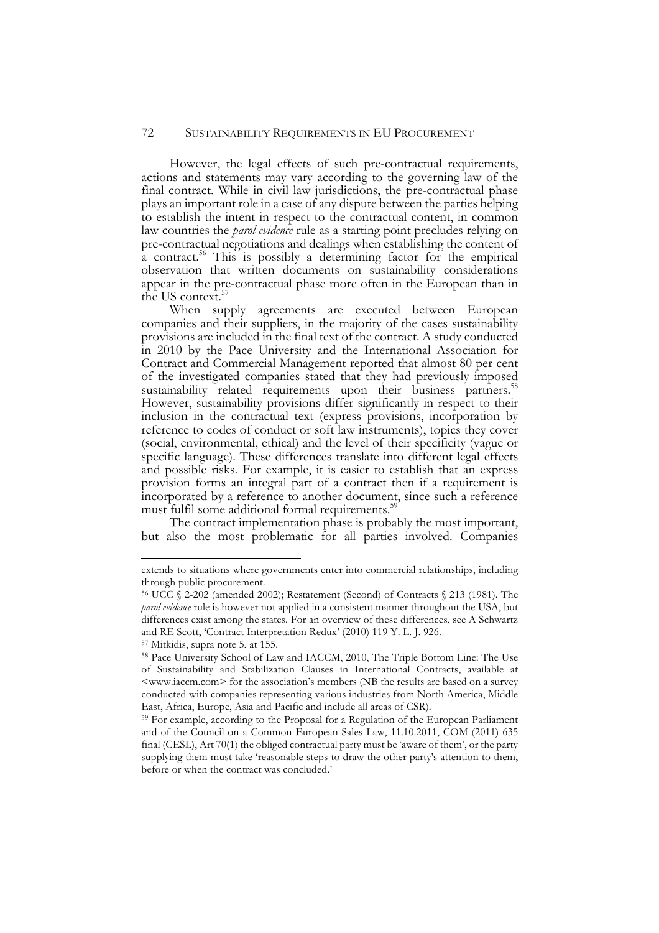#### 72 SUSTAINABILITY REQUIREMENTS IN EU PROCUREMENT

However, the legal effects of such pre-contractual requirements, actions and statements may vary according to the governing law of the final contract. While in civil law jurisdictions, the pre-contractual phase plays an important role in a case of any dispute between the parties helping to establish the intent in respect to the contractual content, in common law countries the *parol evidence* rule as a starting point precludes relying on pre-contractual negotiations and dealings when establishing the content of a contract.<sup>56</sup> This is possibly a determining factor for the empirical observation that written documents on sustainability considerations appear in the pre-contractual phase more often in the European than in the US context.<sup>5</sup>

When supply agreements are executed between European companies and their suppliers, in the majority of the cases sustainability provisions are included in the final text of the contract. A study conducted in 2010 by the Pace University and the International Association for Contract and Commercial Management reported that almost 80 per cent of the investigated companies stated that they had previously imposed sustainability related requirements upon their business partners.<sup>58</sup> However, sustainability provisions differ significantly in respect to their inclusion in the contractual text (express provisions, incorporation by reference to codes of conduct or soft law instruments), topics they cover (social, environmental, ethical) and the level of their specificity (vague or specific language). These differences translate into different legal effects and possible risks. For example, it is easier to establish that an express provision forms an integral part of a contract then if a requirement is incorporated by a reference to another document, since such a reference must fulfil some additional formal requirements.<sup>5</sup>

The contract implementation phase is probably the most important, but also the most problematic for all parties involved. Companies

j

extends to situations where governments enter into commercial relationships, including through public procurement.

<sup>56</sup> UCC § 2-202 (amended 2002); Restatement (Second) of Contracts § 213 (1981). The *parol evidence* rule is however not applied in a consistent manner throughout the USA, but differences exist among the states. For an overview of these differences, see A Schwartz and RE Scott, 'Contract Interpretation Redux' (2010) 119 Y. L. J. 926.

<sup>57</sup> Mitkidis, supra note 5, at 155.

<sup>58</sup> Pace University School of Law and IACCM, 2010, The Triple Bottom Line: The Use of Sustainability and Stabilization Clauses in International Contracts, available at <www.iaccm.com> for the association's members (NB the results are based on a survey conducted with companies representing various industries from North America, Middle East, Africa, Europe, Asia and Pacific and include all areas of CSR).

<sup>59</sup> For example, according to the Proposal for a Regulation of the European Parliament and of the Council on a Common European Sales Law, 11.10.2011, COM (2011) 635 final (CESL), Art 70(1) the obliged contractual party must be 'aware of them', or the party supplying them must take 'reasonable steps to draw the other party's attention to them, before or when the contract was concluded.'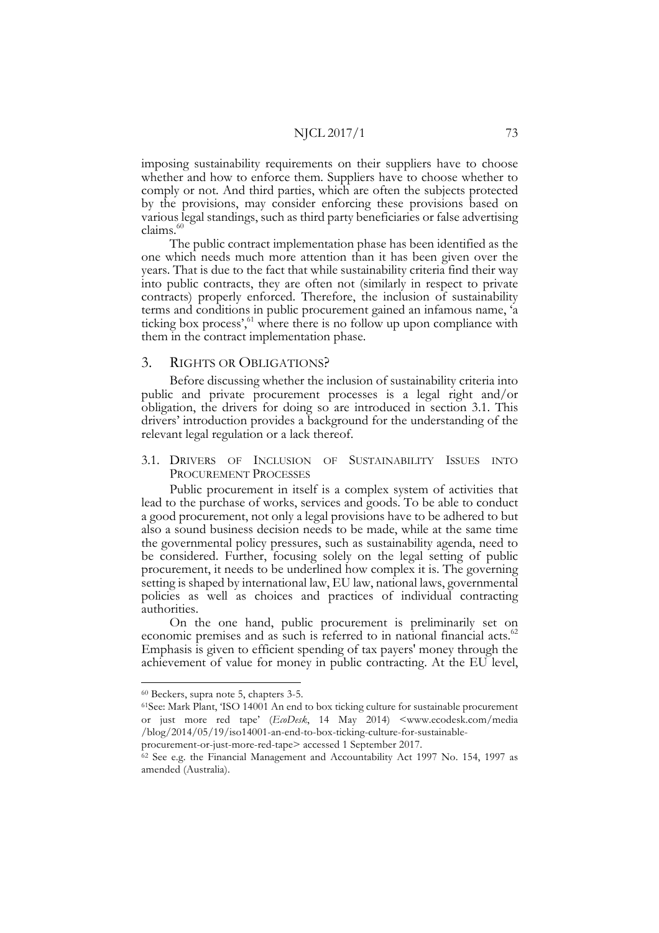imposing sustainability requirements on their suppliers have to choose whether and how to enforce them. Suppliers have to choose whether to comply or not. And third parties, which are often the subjects protected by the provisions, may consider enforcing these provisions based on various legal standings, such as third party beneficiaries or false advertising claims.<sup>60</sup>

The public contract implementation phase has been identified as the one which needs much more attention than it has been given over the years. That is due to the fact that while sustainability criteria find their way into public contracts, they are often not (similarly in respect to private contracts) properly enforced. Therefore, the inclusion of sustainability terms and conditions in public procurement gained an infamous name, 'a ticking box process',<sup>61</sup> where there is no follow up upon compliance with them in the contract implementation phase.

#### 3. RIGHTS OR OBLIGATIONS?

Before discussing whether the inclusion of sustainability criteria into public and private procurement processes is a legal right and/or obligation, the drivers for doing so are introduced in section 3.1. This drivers' introduction provides a background for the understanding of the relevant legal regulation or a lack thereof.

3.1. DRIVERS OF INCLUSION OF SUSTAINABILITY ISSUES INTO PROCUREMENT PROCESSES

Public procurement in itself is a complex system of activities that lead to the purchase of works, services and goods. To be able to conduct a good procurement, not only a legal provisions have to be adhered to but also a sound business decision needs to be made, while at the same time the governmental policy pressures, such as sustainability agenda, need to be considered. Further, focusing solely on the legal setting of public procurement, it needs to be underlined how complex it is. The governing setting is shaped by international law, EU law, national laws, governmental policies as well as choices and practices of individual contracting authorities.

On the one hand, public procurement is preliminarily set on economic premises and as such is referred to in national financial acts.<sup>62</sup> Emphasis is given to efficient spending of tax payers' money through the achievement of value for money in public contracting. At the EU level,

 <sup>60</sup> Beckers, supra note 5, chapters 3-5.

<sup>61</sup>See: Mark Plant, 'ISO 14001 An end to box ticking culture for sustainable procurement or just more red tape' (*EcoDesk*, 14 May 2014) <www.ecodesk.com/media /blog/2014/05/19/iso14001-an-end-to-box-ticking-culture-for-sustainable-

procurement-or-just-more-red-tape> accessed 1 September 2017.

<sup>62</sup> See e.g. the Financial Management and Accountability Act 1997 No. 154, 1997 as amended (Australia).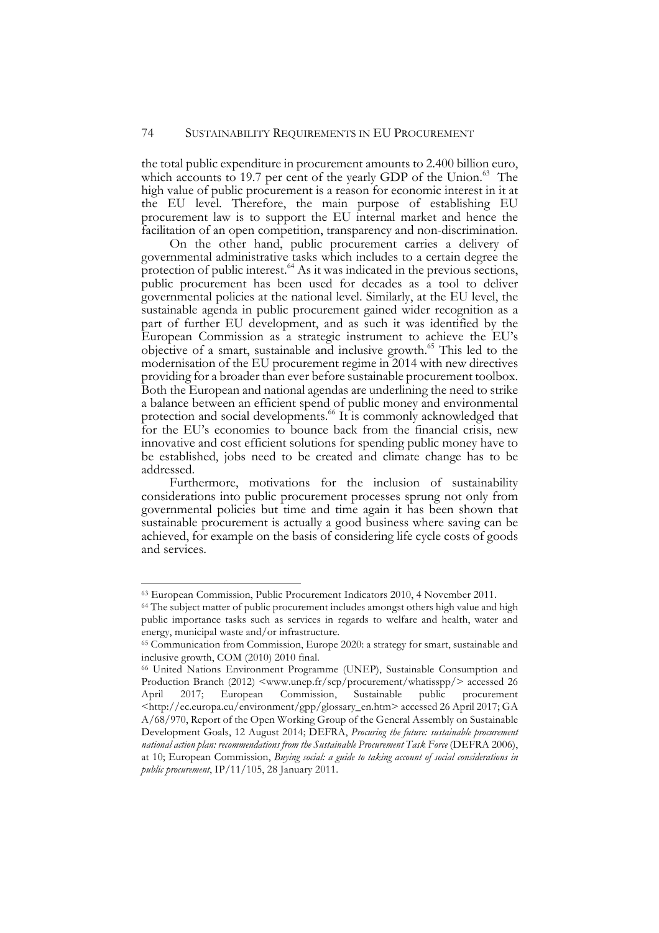the total public expenditure in procurement amounts to 2.400 billion euro, which accounts to 19.7 per cent of the yearly GDP of the Union.<sup>63</sup> The high value of public procurement is a reason for economic interest in it at the EU level. Therefore, the main purpose of establishing EU procurement law is to support the EU internal market and hence the facilitation of an open competition, transparency and non-discrimination.

On the other hand, public procurement carries a delivery of governmental administrative tasks which includes to a certain degree the protection of public interest. $^{64}$  As it was indicated in the previous sections, public procurement has been used for decades as a tool to deliver governmental policies at the national level. Similarly, at the EU level, the sustainable agenda in public procurement gained wider recognition as a part of further EU development, and as such it was identified by the European Commission as a strategic instrument to achieve the EU's objective of a smart, sustainable and inclusive growth.65 This led to the modernisation of the EU procurement regime in 2014 with new directives providing for a broader than ever before sustainable procurement toolbox. Both the European and national agendas are underlining the need to strike a balance between an efficient spend of public money and environmental protection and social developments.<sup>66</sup> It is commonly acknowledged that for the EU's economies to bounce back from the financial crisis, new innovative and cost efficient solutions for spending public money have to be established, jobs need to be created and climate change has to be addressed.

Furthermore, motivations for the inclusion of sustainability considerations into public procurement processes sprung not only from governmental policies but time and time again it has been shown that sustainable procurement is actually a good business where saving can be achieved, for example on the basis of considering life cycle costs of goods and services.

 <sup>63</sup> European Commission, Public Procurement Indicators 2010, 4 November 2011.

<sup>&</sup>lt;sup>64</sup> The subject matter of public procurement includes amongst others high value and high public importance tasks such as services in regards to welfare and health, water and energy, municipal waste and/or infrastructure.

<sup>65</sup> Communication from Commission, Europe 2020: a strategy for smart, sustainable and inclusive growth, COM (2010) 2010 final.

<sup>66</sup> United Nations Environment Programme (UNEP), Sustainable Consumption and Production Branch (2012) <www.unep.fr/scp/procurement/whatisspp/> accessed 26 April 2017; European Commission, Sustainable public procurement <http://ec.europa.eu/environment/gpp/glossary\_en.htm> accessed 26 April 2017; GA A/68/970, Report of the Open Working Group of the General Assembly on Sustainable Development Goals, 12 August 2014; DEFRA, *Procuring the future: sustainable procurement national action plan: recommendations from the Sustainable Procurement Task Force* (DEFRA 2006), at 10; European Commission, *Buying social: a guide to taking account of social considerations in public procurement*, IP/11/105, 28 January 2011.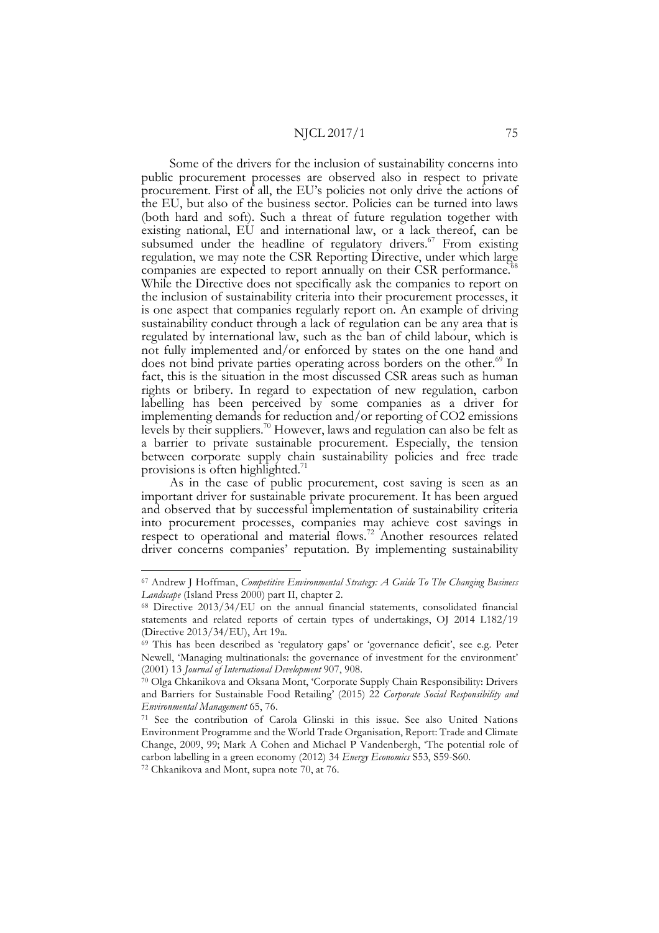Some of the drivers for the inclusion of sustainability concerns into public procurement processes are observed also in respect to private procurement. First of all, the EU's policies not only drive the actions of the EU, but also of the business sector. Policies can be turned into laws (both hard and soft). Such a threat of future regulation together with existing national, EU and international law, or a lack thereof, can be subsumed under the headline of regulatory drivers. $67$  From existing regulation, we may note the CSR Reporting Directive, under which large companies are expected to report annually on their CSR performance.<sup>6</sup> While the Directive does not specifically ask the companies to report on the inclusion of sustainability criteria into their procurement processes, it is one aspect that companies regularly report on. An example of driving sustainability conduct through a lack of regulation can be any area that is regulated by international law, such as the ban of child labour, which is not fully implemented and/or enforced by states on the one hand and does not bind private parties operating across borders on the other.<sup>69</sup> In fact, this is the situation in the most discussed CSR areas such as human rights or bribery. In regard to expectation of new regulation, carbon labelling has been perceived by some companies as a driver for implementing demands for reduction and/or reporting of CO2 emissions levels by their suppliers.<sup>70</sup> However, laws and regulation can also be felt as a barrier to private sustainable procurement. Especially, the tension between corporate supply chain sustainability policies and free trade provisions is often highlighted.<sup>71</sup>

As in the case of public procurement, cost saving is seen as an important driver for sustainable private procurement. It has been argued and observed that by successful implementation of sustainability criteria into procurement processes, companies may achieve cost savings in respect to operational and material flows.<sup>72</sup> Another resources related driver concerns companies' reputation. By implementing sustainability

 <sup>67</sup> Andrew J Hoffman, *Competitive Environmental Strategy: A Guide To The Changing Business Landscape* (Island Press 2000) part II, chapter 2.

<sup>68</sup> Directive 2013/34/EU on the annual financial statements, consolidated financial statements and related reports of certain types of undertakings, OJ 2014 L182/19 (Directive 2013/34/EU), Art 19a.

<sup>69</sup> This has been described as 'regulatory gaps' or 'governance deficit', see e.g. Peter Newell, 'Managing multinationals: the governance of investment for the environment' (2001) 13 *Journal of International Development* 907, 908.

<sup>70</sup> Olga Chkanikova and Oksana Mont, 'Corporate Supply Chain Responsibility: Drivers and Barriers for Sustainable Food Retailing' (2015) 22 *Corporate Social Responsibility and Environmental Management* 65, 76.

<sup>71</sup> See the contribution of Carola Glinski in this issue. See also United Nations Environment Programme and the World Trade Organisation, Report: Trade and Climate Change, 2009, 99; Mark A Cohen and Michael P Vandenbergh, 'The potential role of carbon labelling in a green economy (2012) 34 *Energy Economics* S53, S59-S60.

<sup>72</sup> Chkanikova and Mont, supra note 70, at 76.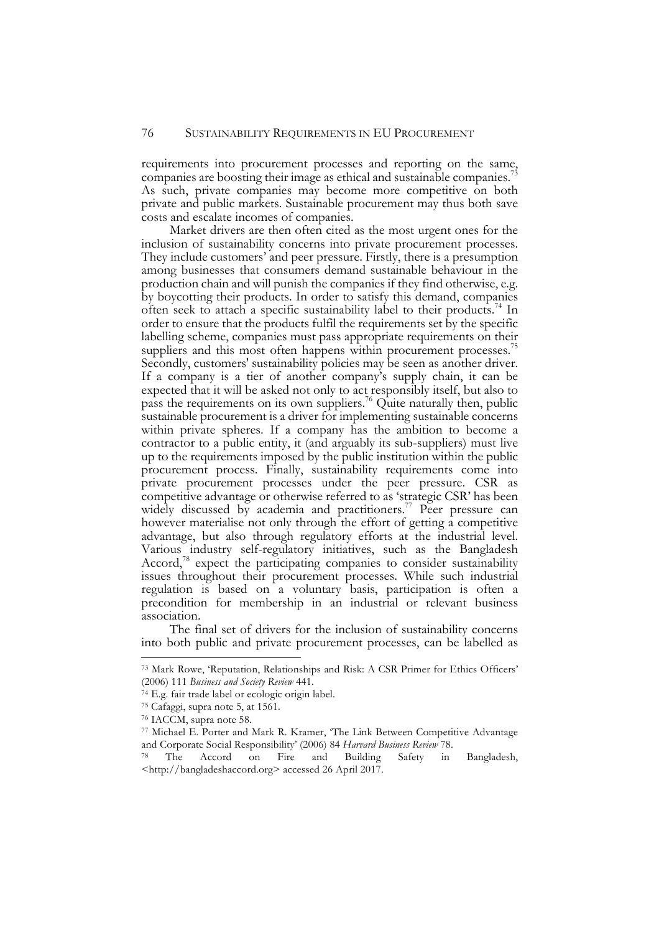requirements into procurement processes and reporting on the same, companies are boosting their image as ethical and sustainable companies.<sup>7</sup> As such, private companies may become more competitive on both private and public markets. Sustainable procurement may thus both save costs and escalate incomes of companies.

Market drivers are then often cited as the most urgent ones for the inclusion of sustainability concerns into private procurement processes. They include customers' and peer pressure. Firstly, there is a presumption among businesses that consumers demand sustainable behaviour in the production chain and will punish the companies if they find otherwise, e.g. by boycotting their products. In order to satisfy this demand, companies often seek to attach a specific sustainability label to their products.74 In order to ensure that the products fulfil the requirements set by the specific labelling scheme, companies must pass appropriate requirements on their suppliers and this most often happens within procurement processes.<sup>75</sup>

Secondly, customers' sustainability policies may be seen as another driver. If a company is a tier of another company's supply chain, it can be expected that it will be asked not only to act responsibly itself, but also to pass the requirements on its own suppliers.76 Quite naturally then, public sustainable procurement is a driver for implementing sustainable concerns within private spheres. If a company has the ambition to become a contractor to a public entity, it (and arguably its sub-suppliers) must live up to the requirements imposed by the public institution within the public procurement process. Finally, sustainability requirements come into private procurement processes under the peer pressure. CSR as competitive advantage or otherwise referred to as 'strategic CSR' has been widely discussed by academia and practitioners.<sup>77</sup> Peer pressure can however materialise not only through the effort of getting a competitive advantage, but also through regulatory efforts at the industrial level. Various industry self-regulatory initiatives, such as the Bangladesh Accord,<sup>78</sup> expect the participating companies to consider sustainability issues throughout their procurement processes. While such industrial regulation is based on a voluntary basis, participation is often a precondition for membership in an industrial or relevant business association.

The final set of drivers for the inclusion of sustainability concerns into both public and private procurement processes, can be labelled as

 <sup>73</sup> Mark Rowe, 'Reputation, Relationships and Risk: A CSR Primer for Ethics Officers' (2006) 111 *Business and Society Review* 441.

<sup>74</sup> E.g. fair trade label or ecologic origin label.

<sup>75</sup> Cafaggi, supra note 5, at 1561.

<sup>76</sup> IACCM, supra note 58.

<sup>77</sup> Michael E. Porter and Mark R. Kramer, 'The Link Between Competitive Advantage and Corporate Social Responsibility' (2006) 84 *Harvard Business Review* 78. 78 The Accord on Fire and Building Safety in Bangladesh,

<sup>&</sup>lt;http://bangladeshaccord.org> accessed 26 April 2017.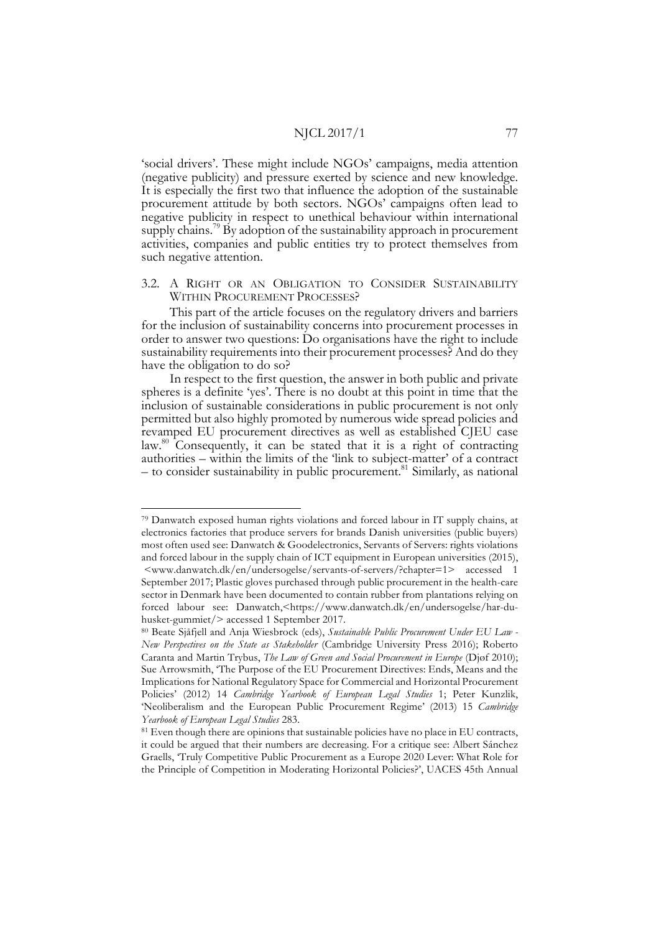'social drivers'. These might include NGOs' campaigns, media attention (negative publicity) and pressure exerted by science and new knowledge. It is especially the first two that influence the adoption of the sustainable procurement attitude by both sectors. NGOs' campaigns often lead to negative publicity in respect to unethical behaviour within international supply chains.<sup>79</sup> By adoption of the sustainability approach in procurement activities, companies and public entities try to protect themselves from such negative attention.

## 3.2. A RIGHT OR AN OBLIGATION TO CONSIDER SUSTAINABILITY WITHIN PROCUREMENT PROCESSES?

This part of the article focuses on the regulatory drivers and barriers for the inclusion of sustainability concerns into procurement processes in order to answer two questions: Do organisations have the right to include sustainability requirements into their procurement processes? And do they have the obligation to do so?

In respect to the first question, the answer in both public and private spheres is a definite 'yes'. There is no doubt at this point in time that the inclusion of sustainable considerations in public procurement is not only permitted but also highly promoted by numerous wide spread policies and revamped EU procurement directives as well as established CJEU case law.<sup>80</sup> Consequently, it can be stated that it is a right of contracting authorities – within the limits of the 'link to subject-matter' of a contract – to consider sustainability in public procurement.81 Similarly, as national

 <sup>79</sup> Danwatch exposed human rights violations and forced labour in IT supply chains, at electronics factories that produce servers for brands Danish universities (public buyers) most often used see: Danwatch & Goodelectronics, Servants of Servers: rights violations and forced labour in the supply chain of ICT equipment in European universities (2015), <www.danwatch.dk/en/undersogelse/servants-of-servers/?chapter=1> accessed 1 September 2017; Plastic gloves purchased through public procurement in the health-care sector in Denmark have been documented to contain rubber from plantations relying on forced labour see: Danwatch,<https://www.danwatch.dk/en/undersogelse/har-duhusket-gummiet/> accessed 1 September 2017.

<sup>80</sup> Beate Sjåfjell and Anja Wiesbrock (eds), *Sustainable Public Procurement Under EU Law - New Perspectives on the State as Stakeholder* (Cambridge University Press 2016); Roberto Caranta and Martin Trybus, *The Law of Green and Social Procurement in Europe* (Djøf 2010); Sue Arrowsmith, 'The Purpose of the EU Procurement Directives: Ends, Means and the Implications for National Regulatory Space for Commercial and Horizontal Procurement Policies' (2012) 14 *Cambridge Yearbook of European Legal Studies* 1; Peter Kunzlik, 'Neoliberalism and the European Public Procurement Regime' (2013) 15 *Cambridge Yearbook of European Legal Studies* 283.

<sup>&</sup>lt;sup>81</sup> Even though there are opinions that sustainable policies have no place in EU contracts, it could be argued that their numbers are decreasing. For a critique see: Albert Sánchez Graells, 'Truly Competitive Public Procurement as a Europe 2020 Lever: What Role for the Principle of Competition in Moderating Horizontal Policies?', UACES 45th Annual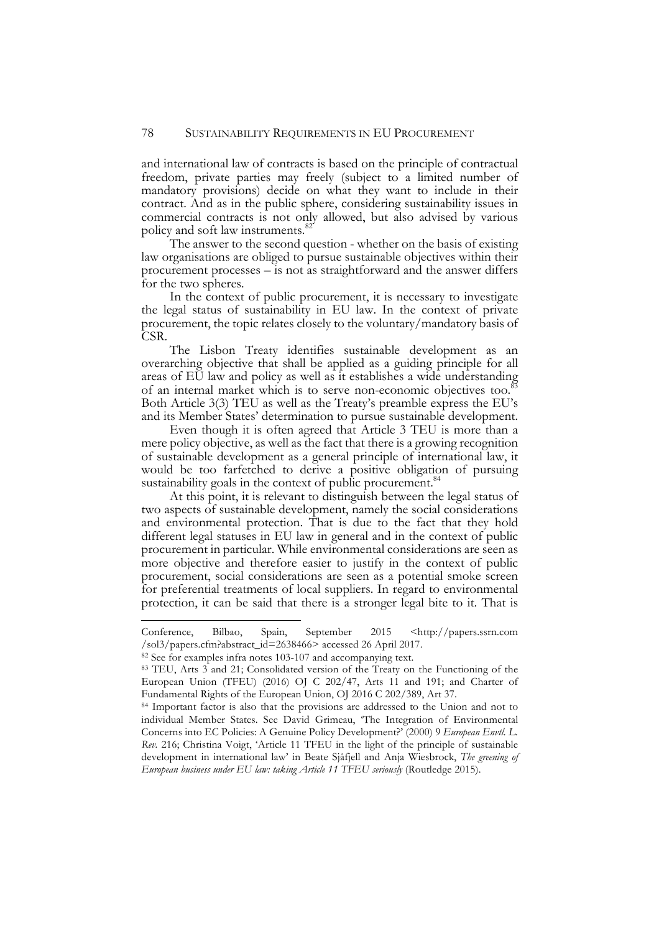and international law of contracts is based on the principle of contractual freedom, private parties may freely (subject to a limited number of mandatory provisions) decide on what they want to include in their contract. And as in the public sphere, considering sustainability issues in commercial contracts is not only allowed, but also advised by various policy and soft law instruments.<sup>82</sup>

The answer to the second question - whether on the basis of existing law organisations are obliged to pursue sustainable objectives within their procurement processes – is not as straightforward and the answer differs for the two spheres.

In the context of public procurement, it is necessary to investigate the legal status of sustainability in EU law. In the context of private procurement, the topic relates closely to the voluntary/mandatory basis of CSR.

The Lisbon Treaty identifies sustainable development as an overarching objective that shall be applied as a guiding principle for all areas of EU law and policy as well as it establishes a wide understanding of an internal market which is to serve non-economic objectives too.<sup>8</sup> Both Article 3(3) TEU as well as the Treaty's preamble express the EU's and its Member States' determination to pursue sustainable development.

Even though it is often agreed that Article 3 TEU is more than a mere policy objective, as well as the fact that there is a growing recognition of sustainable development as a general principle of international law, it would be too farfetched to derive a positive obligation of pursuing sustainability goals in the context of public procurement.<sup>84</sup>

At this point, it is relevant to distinguish between the legal status of two aspects of sustainable development, namely the social considerations and environmental protection. That is due to the fact that they hold different legal statuses in EU law in general and in the context of public procurement in particular. While environmental considerations are seen as more objective and therefore easier to justify in the context of public procurement, social considerations are seen as a potential smoke screen for preferential treatments of local suppliers. In regard to environmental protection, it can be said that there is a stronger legal bite to it. That is

-

Conference, Bilbao, Spain, September 2015 <http://papers.ssrn.com /sol3/papers.cfm?abstract\_id=2638466> accessed 26 April 2017.

<sup>82</sup> See for examples infra notes 103-107 and accompanying text.

<sup>83</sup> TEU, Arts 3 and 21; Consolidated version of the Treaty on the Functioning of the European Union (TFEU) (2016) OJ C 202/47, Arts 11 and 191; and Charter of Fundamental Rights of the European Union, OJ 2016 C 202/389, Art 37.

<sup>84</sup> Important factor is also that the provisions are addressed to the Union and not to individual Member States. See David Grimeau, 'The Integration of Environmental Concerns into EC Policies: A Genuine Policy Development?' (2000) 9 *European Envtl. L. Rev.* 216; Christina Voigt, 'Article 11 TFEU in the light of the principle of sustainable development in international law' in Beate Sjåfjell and Anja Wiesbrock, *The greening of European business under EU law: taking Article 11 TFEU seriously* (Routledge 2015).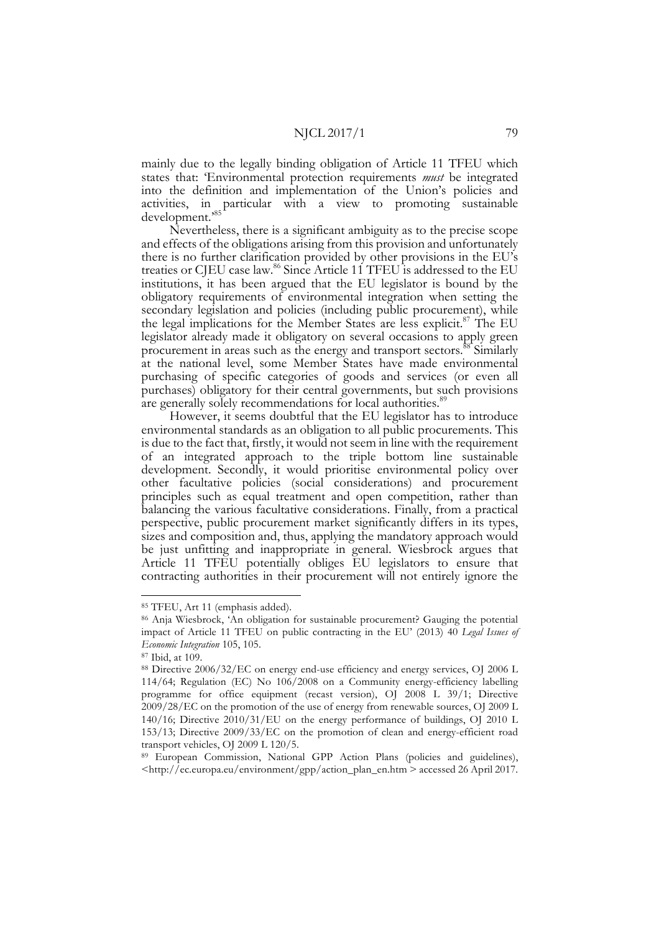mainly due to the legally binding obligation of Article 11 TFEU which states that: 'Environmental protection requirements *must* be integrated into the definition and implementation of the Union's policies and activities, in particular with a view to promoting sustainable development.'85

Nevertheless, there is a significant ambiguity as to the precise scope and effects of the obligations arising from this provision and unfortunately there is no further clarification provided by other provisions in the EU's treaties or CJEU case law.<sup>86</sup> Since Article 11 TFEU is addressed to the EU institutions, it has been argued that the EU legislator is bound by the obligatory requirements of environmental integration when setting the secondary legislation and policies (including public procurement), while the legal implications for the Member States are less explicit.<sup>87</sup> The EU legislator already made it obligatory on several occasions to apply green procurement in areas such as the energy and transport sectors.88 Similarly at the national level, some Member States have made environmental purchasing of specific categories of goods and services (or even all purchases) obligatory for their central governments, but such provisions are generally solely recommendations for local authorities.<sup>89</sup>

However, it seems doubtful that the EU legislator has to introduce environmental standards as an obligation to all public procurements. This is due to the fact that, firstly, it would not seem in line with the requirement of an integrated approach to the triple bottom line sustainable development. Secondly, it would prioritise environmental policy over other facultative policies (social considerations) and procurement principles such as equal treatment and open competition, rather than balancing the various facultative considerations. Finally, from a practical perspective, public procurement market significantly differs in its types, sizes and composition and, thus, applying the mandatory approach would be just unfitting and inappropriate in general. Wiesbrock argues that Article 11 TFEU potentially obliges EU legislators to ensure that contracting authorities in their procurement will not entirely ignore the

 <sup>85</sup> TFEU, Art 11 (emphasis added).

<sup>86</sup> Anja Wiesbrock, 'An obligation for sustainable procurement? Gauging the potential impact of Article 11 TFEU on public contracting in the EU' (2013) 40 *Legal Issues of Economic Integration* 105, 105.

<sup>87</sup> Ibid, at 109.

<sup>88</sup> Directive 2006/32/EC on energy end-use efficiency and energy services, OJ 2006 L 114/64; Regulation (EC) No 106/2008 on a Community energy-efficiency labelling programme for office equipment (recast version), OJ 2008 L 39/1; Directive 2009/28/EC on the promotion of the use of energy from renewable sources, OJ 2009 L 140/16; Directive 2010/31/EU on the energy performance of buildings, OJ 2010 L 153/13; Directive 2009/33/EC on the promotion of clean and energy-efficient road transport vehicles, OJ 2009 L 120/5.

<sup>89</sup> European Commission, National GPP Action Plans (policies and guidelines), <http://ec.europa.eu/environment/gpp/action\_plan\_en.htm > accessed 26 April 2017.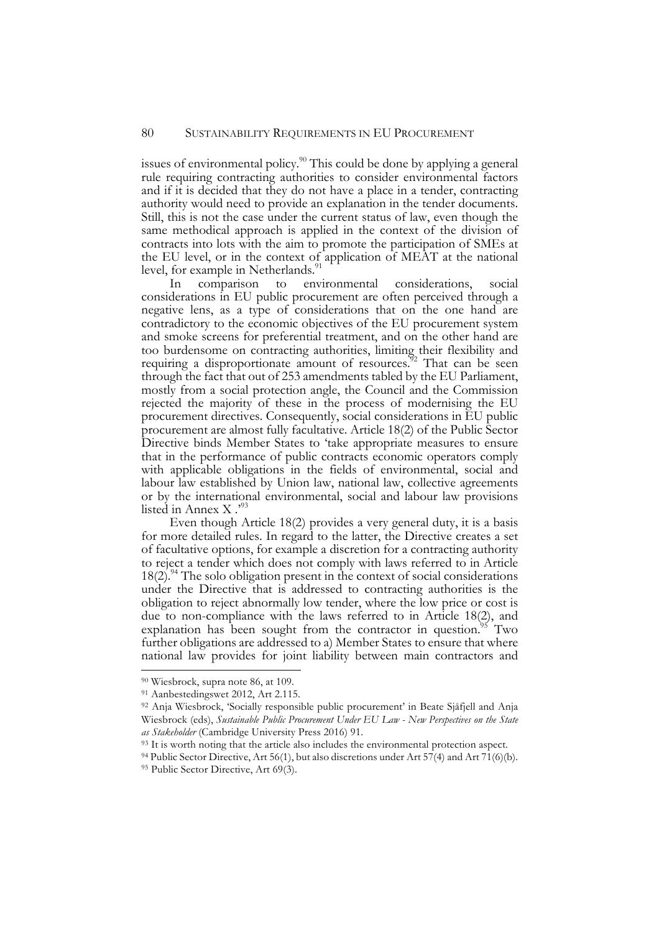issues of environmental policy.90 This could be done by applying a general rule requiring contracting authorities to consider environmental factors and if it is decided that they do not have a place in a tender, contracting authority would need to provide an explanation in the tender documents. Still, this is not the case under the current status of law, even though the same methodical approach is applied in the context of the division of contracts into lots with the aim to promote the participation of SMEs at the EU level, or in the context of application of MEAT at the national level, for example in Netherlands.<sup>91</sup>

In comparison to environmental considerations, social considerations in EU public procurement are often perceived through a negative lens, as a type of considerations that on the one hand are contradictory to the economic objectives of the EU procurement system and smoke screens for preferential treatment, and on the other hand are too burdensome on contracting authorities, limiting their flexibility and requiring a disproportionate amount of resources.<sup>32</sup> That can be seen through the fact that out of 253 amendments tabled by the EU Parliament, mostly from a social protection angle, the Council and the Commission rejected the majority of these in the process of modernising the EU procurement directives. Consequently, social considerations in EU public procurement are almost fully facultative. Article 18(2) of the Public Sector Directive binds Member States to 'take appropriate measures to ensure that in the performance of public contracts economic operators comply with applicable obligations in the fields of environmental, social and labour law established by Union law, national law, collective agreements or by the international environmental, social and labour law provisions listed in Annex X .'93

Even though Article 18(2) provides a very general duty, it is a basis for more detailed rules. In regard to the latter, the Directive creates a set of facultative options, for example a discretion for a contracting authority to reject a tender which does not comply with laws referred to in Article  $18(2)$ .<sup>94</sup> The solo obligation present in the context of social considerations under the Directive that is addressed to contracting authorities is the obligation to reject abnormally low tender, where the low price or cost is due to non-compliance with the laws referred to in Article 18(2), and explanation has been sought from the contractor in question.<sup>95</sup> Two further obligations are addressed to a) Member States to ensure that where national law provides for joint liability between main contractors and

 <sup>90</sup> Wiesbrock, supra note 86, at 109.

<sup>91</sup> Aanbestedingswet 2012, Art 2.115.

<sup>92</sup> Anja Wiesbrock, 'Socially responsible public procurement' in Beate Sjåfjell and Anja Wiesbrock (eds), *Sustainable Public Procurement Under EU Law - New Perspectives on the State as Stakeholder* (Cambridge University Press 2016) 91.

<sup>&</sup>lt;sup>93</sup> It is worth noting that the article also includes the environmental protection aspect.

<sup>94</sup> Public Sector Directive, Art 56(1), but also discretions under Art 57(4) and Art 71(6)(b). 95 Public Sector Directive, Art 69(3).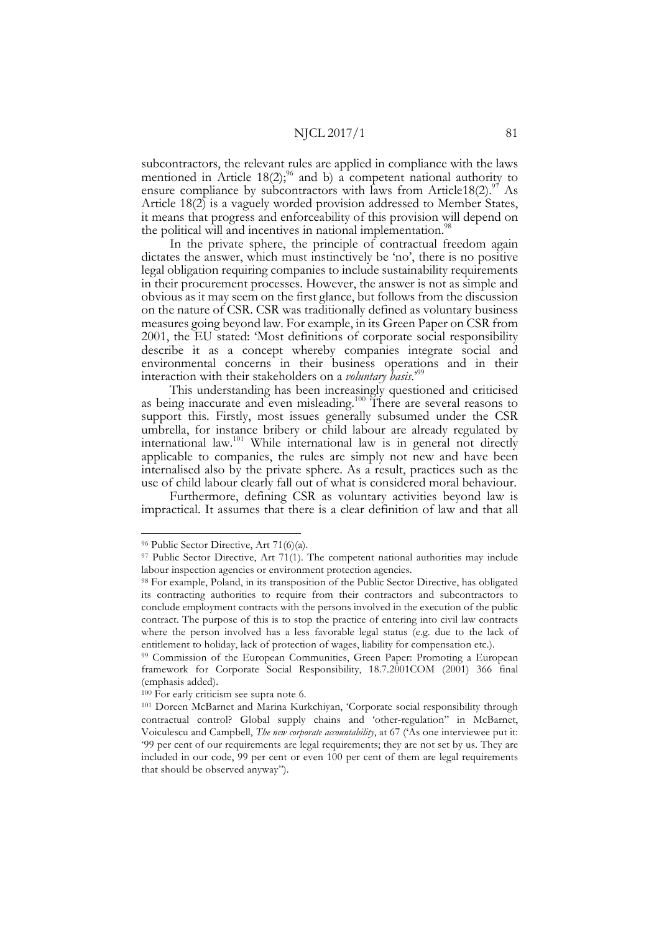subcontractors, the relevant rules are applied in compliance with the laws mentioned in Article  $18(2)$ ;<sup>96</sup> and b) a competent national authority to ensure compliance by subcontractors with laws from Article18(2).<sup>97</sup> As Article 18(2) is a vaguely worded provision addressed to Member States, it means that progress and enforceability of this provision will depend on the political will and incentives in national implementation.<sup>98</sup>

In the private sphere, the principle of contractual freedom again dictates the answer, which must instinctively be 'no', there is no positive legal obligation requiring companies to include sustainability requirements in their procurement processes. However, the answer is not as simple and obvious as it may seem on the first glance, but follows from the discussion on the nature of CSR. CSR was traditionally defined as voluntary business measures going beyond law. For example, in its Green Paper on CSR from 2001, the EU stated: 'Most definitions of corporate social responsibility describe it as a concept whereby companies integrate social and environmental concerns in their business operations and in their interaction with their stakeholders on a *voluntary basis*.'99

This understanding has been increasingly questioned and criticised as being inaccurate and even misleading.<sup>100</sup> There are several reasons to support this. Firstly, most issues generally subsumed under the CSR umbrella, for instance bribery or child labour are already regulated by international law.101 While international law is in general not directly applicable to companies, the rules are simply not new and have been internalised also by the private sphere. As a result, practices such as the

use of child labour clearly fall out of what is considered moral behaviour. Furthermore, defining CSR as voluntary activities beyond law is impractical. It assumes that there is a clear definition of law and that all

 <sup>96</sup> Public Sector Directive, Art 71(6)(a).

<sup>97</sup> Public Sector Directive, Art 71(1). The competent national authorities may include labour inspection agencies or environment protection agencies. 98 For example, Poland, in its transposition of the Public Sector Directive, has obligated

its contracting authorities to require from their contractors and subcontractors to conclude employment contracts with the persons involved in the execution of the public contract. The purpose of this is to stop the practice of entering into civil law contracts where the person involved has a less favorable legal status (e.g. due to the lack of entitlement to holiday, lack of protection of wages, liability for compensation etc.).

<sup>99</sup> Commission of the European Communities, Green Paper: Promoting a European framework for Corporate Social Responsibility, 18.7.2001COM (2001) 366 final (emphasis added).

<sup>100</sup> For early criticism see supra note 6.

<sup>101</sup> Doreen McBarnet and Marina Kurkchiyan, 'Corporate social responsibility through contractual control? Global supply chains and 'other-regulation'' in McBarnet, Voiculescu and Campbell, *The new corporate accountability*, at 67 ('As one interviewee put it: '99 per cent of our requirements are legal requirements; they are not set by us. They are included in our code, 99 per cent or even 100 per cent of them are legal requirements that should be observed anyway'').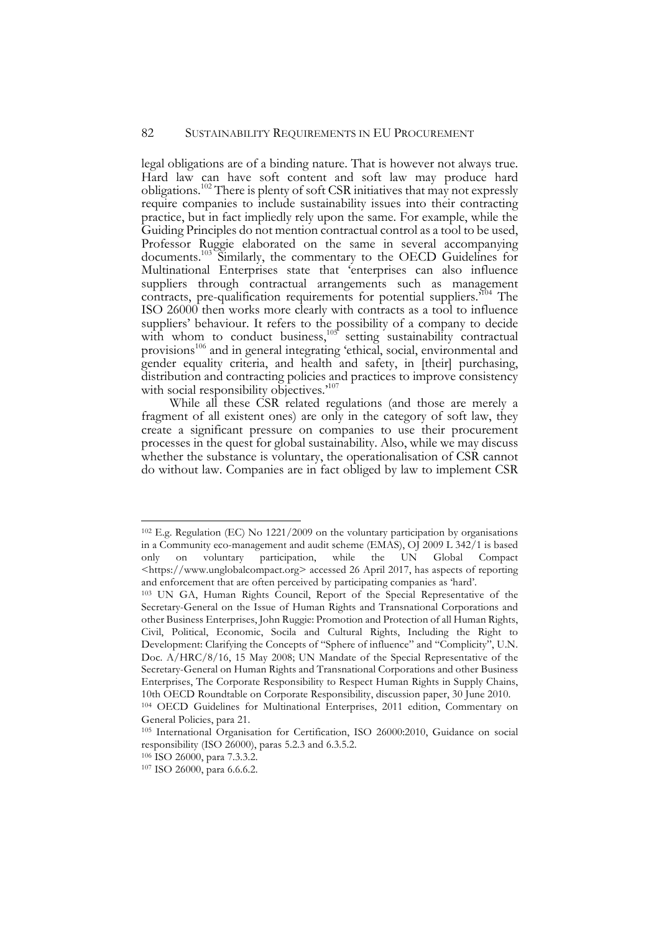## 82 SUSTAINABILITY REQUIREMENTS IN EU PROCUREMENT

legal obligations are of a binding nature. That is however not always true. Hard law can have soft content and soft law may produce hard obligations.102 There is plenty of soft CSR initiatives that may not expressly require companies to include sustainability issues into their contracting practice, but in fact impliedly rely upon the same. For example, while the Guiding Principles do not mention contractual control as a tool to be used, Professor Ruggie elaborated on the same in several accompanying documents.103 Similarly, the commentary to the OECD Guidelines for Multinational Enterprises state that 'enterprises can also influence suppliers through contractual arrangements such as management contracts, pre-qualification requirements for potential suppliers.<sup>104</sup> The ISO 26000 then works more clearly with contracts as a tool to influence suppliers' behaviour. It refers to the possibility of a company to decide with whom to conduct business,  $105$  setting sustainability contractual provisions<sup>106</sup> and in general integrating 'ethical, social, environmental and gender equality criteria, and health and safety, in [their] purchasing, distribution and contracting policies and practices to improve consistency with social responsibility objectives.<sup>'107</sup>

While all these CSR related regulations (and those are merely a fragment of all existent ones) are only in the category of soft law, they create a significant pressure on companies to use their procurement processes in the quest for global sustainability. Also, while we may discuss whether the substance is voluntary, the operationalisation of CSR cannot do without law. Companies are in fact obliged by law to implement CSR

 <sup>102</sup> E.g. Regulation (EC) No 1221/2009 on the voluntary participation by organisations in a Community eco-management and audit scheme (EMAS), OJ 2009 L 342/1 is based only on voluntary participation, while the UN Global Compact <https://www.unglobalcompact.org> accessed 26 April 2017, has aspects of reporting and enforcement that are often perceived by participating companies as 'hard'.

<sup>103</sup> UN GA, Human Rights Council, Report of the Special Representative of the Secretary-General on the Issue of Human Rights and Transnational Corporations and other Business Enterprises, John Ruggie: Promotion and Protection of all Human Rights, Civil, Political, Economic, Socila and Cultural Rights, Including the Right to Development: Clarifying the Concepts of "Sphere of influence" and "Complicity", U.N. Doc. A/HRC/8/16, 15 May 2008; UN Mandate of the Special Representative of the Secretary-General on Human Rights and Transnational Corporations and other Business Enterprises, The Corporate Responsibility to Respect Human Rights in Supply Chains, 10th OECD Roundtable on Corporate Responsibility, discussion paper, 30 June 2010.

<sup>104</sup> OECD Guidelines for Multinational Enterprises, 2011 edition, Commentary on General Policies, para 21.

<sup>105</sup> International Organisation for Certification, ISO 26000:2010, Guidance on social responsibility (ISO 26000), paras 5.2.3 and 6.3.5.2.

<sup>106</sup> ISO 26000, para 7.3.3.2.

<sup>107</sup> ISO 26000, para 6.6.6.2.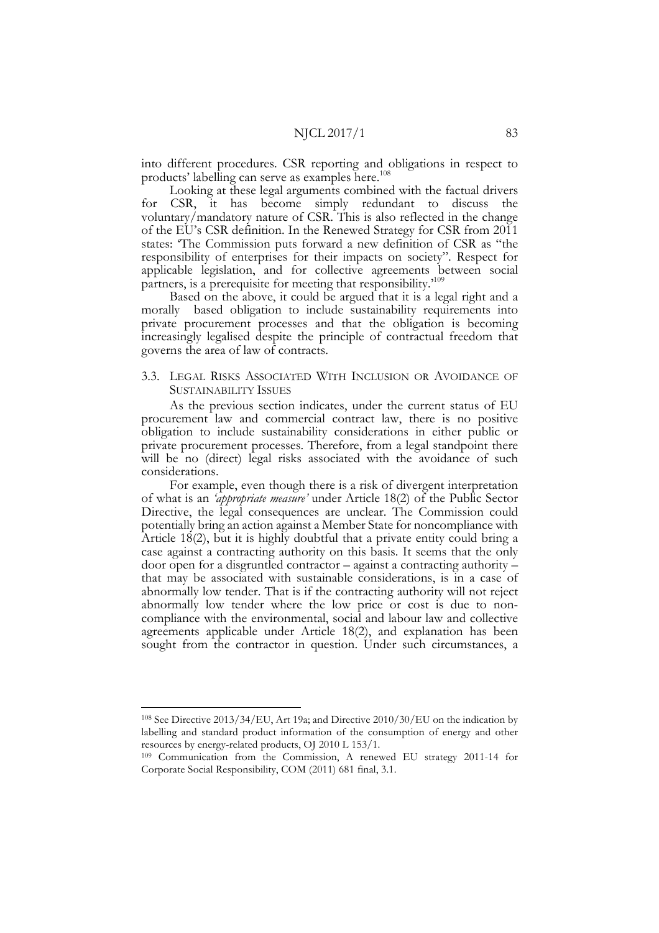into different procedures. CSR reporting and obligations in respect to products' labelling can serve as examples here.<sup>108</sup>

Looking at these legal arguments combined with the factual drivers for CSR, it has become simply redundant to discuss the voluntary/mandatory nature of CSR. This is also reflected in the change of the EU's CSR definition. In the Renewed Strategy for CSR from 2011 states: 'The Commission puts forward a new definition of CSR as "the responsibility of enterprises for their impacts on society". Respect for applicable legislation, and for collective agreements between social partners, is a prerequisite for meeting that responsibility.'109

Based on the above, it could be argued that it is a legal right and a morally based obligation to include sustainability requirements into private procurement processes and that the obligation is becoming increasingly legalised despite the principle of contractual freedom that governs the area of law of contracts.

## 3.3. LEGAL RISKS ASSOCIATED WITH INCLUSION OR AVOIDANCE OF SUSTAINABILITY ISSUES

As the previous section indicates, under the current status of EU procurement law and commercial contract law, there is no positive obligation to include sustainability considerations in either public or private procurement processes. Therefore, from a legal standpoint there will be no (direct) legal risks associated with the avoidance of such considerations.

For example, even though there is a risk of divergent interpretation of what is an *'appropriate measure'* under Article 18(2) of the Public Sector Directive, the legal consequences are unclear. The Commission could potentially bring an action against a Member State for noncompliance with Article 18(2), but it is highly doubtful that a private entity could bring a case against a contracting authority on this basis. It seems that the only door open for a disgruntled contractor – against a contracting authority – that may be associated with sustainable considerations, is in a case of abnormally low tender. That is if the contracting authority will not reject abnormally low tender where the low price or cost is due to non- compliance with the environmental, social and labour law and collective agreements applicable under Article 18(2), and explanation has been sought from the contractor in question. Under such circumstances, a

 <sup>108</sup> See Directive 2013/34/EU, Art 19a; and Directive 2010/30/EU on the indication by labelling and standard product information of the consumption of energy and other resources by energy-related products, OJ 2010 L 153/1.

<sup>109</sup> Communication from the Commission, A renewed EU strategy 2011-14 for Corporate Social Responsibility, COM (2011) 681 final, 3.1.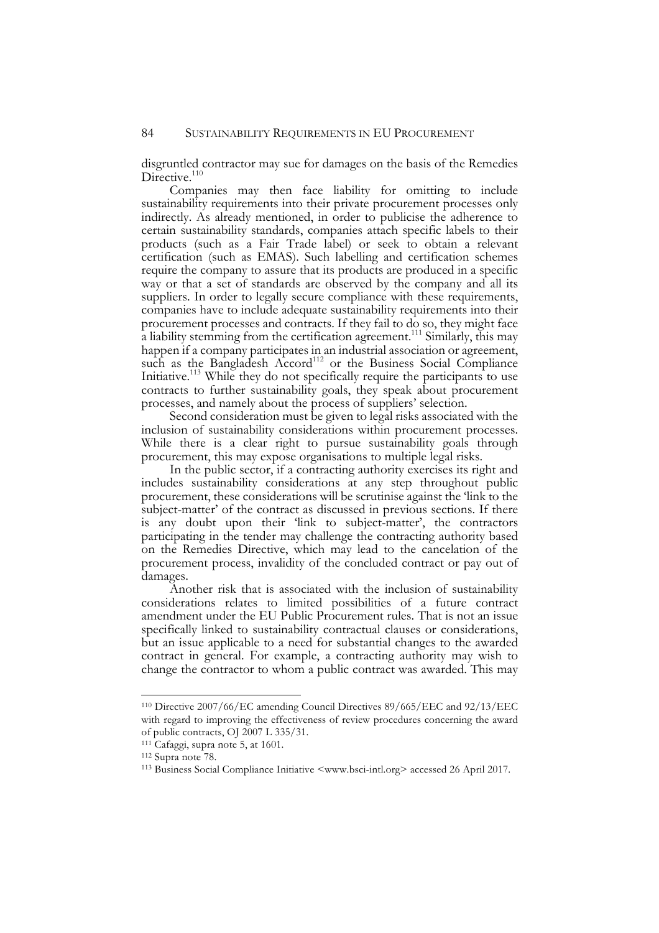disgruntled contractor may sue for damages on the basis of the Remedies Directive. $110$ 

Companies may then face liability for omitting to include sustainability requirements into their private procurement processes only indirectly. As already mentioned, in order to publicise the adherence to certain sustainability standards, companies attach specific labels to their products (such as a Fair Trade label) or seek to obtain a relevant certification (such as EMAS). Such labelling and certification schemes require the company to assure that its products are produced in a specific way or that a set of standards are observed by the company and all its suppliers. In order to legally secure compliance with these requirements, companies have to include adequate sustainability requirements into their procurement processes and contracts. If they fail to do so, they might face a liability stemming from the certification agreement.<sup>111</sup> Similarly, this may happen if a company participates in an industrial association or agreement, such as the Bangladesh Accord<sup>112</sup> or the Business Social Compliance Initiative.113 While they do not specifically require the participants to use contracts to further sustainability goals, they speak about procurement processes, and namely about the process of suppliers' selection.

Second consideration must be given to legal risks associated with the inclusion of sustainability considerations within procurement processes. While there is a clear right to pursue sustainability goals through procurement, this may expose organisations to multiple legal risks.

In the public sector, if a contracting authority exercises its right and includes sustainability considerations at any step throughout public procurement, these considerations will be scrutinise against the 'link to the subject-matter' of the contract as discussed in previous sections. If there is any doubt upon their 'link to subject-matter', the contractors participating in the tender may challenge the contracting authority based on the Remedies Directive, which may lead to the cancelation of the procurement process, invalidity of the concluded contract or pay out of damages.

Another risk that is associated with the inclusion of sustainability considerations relates to limited possibilities of a future contract amendment under the EU Public Procurement rules. That is not an issue specifically linked to sustainability contractual clauses or considerations, but an issue applicable to a need for substantial changes to the awarded contract in general. For example, a contracting authority may wish to change the contractor to whom a public contract was awarded. This may

 <sup>110</sup> Directive 2007/66/EC amending Council Directives 89/665/EEC and 92/13/EEC with regard to improving the effectiveness of review procedures concerning the award of public contracts, OJ 2007 L 335/31.

<sup>111</sup> Cafaggi, supra note 5, at 1601.

<sup>112</sup> Supra note 78.

<sup>113</sup> Business Social Compliance Initiative <www.bsci-intl.org> accessed 26 April 2017.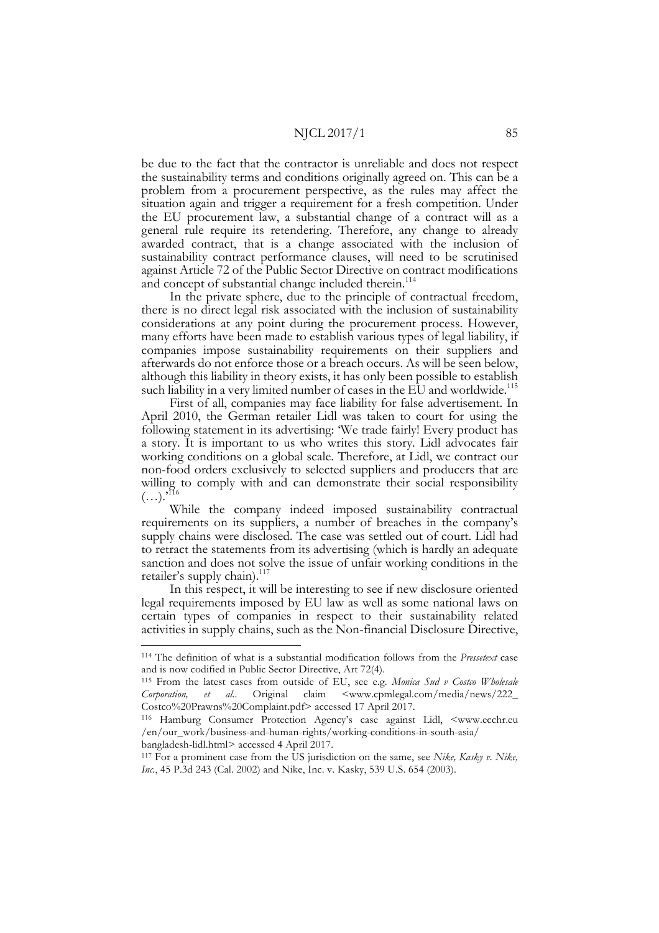be due to the fact that the contractor is unreliable and does not respect the sustainability terms and conditions originally agreed on. This can be a problem from a procurement perspective, as the rules may affect the situation again and trigger a requirement for a fresh competition. Under the EU procurement law, a substantial change of a contract will as a general rule require its retendering. Therefore, any change to already awarded contract, that is a change associated with the inclusion of sustainability contract performance clauses, will need to be scrutinised against Article 72 of the Public Sector Directive on contract modifications and concept of substantial change included therein.<sup>114</sup>

In the private sphere, due to the principle of contractual freedom, there is no direct legal risk associated with the inclusion of sustainability considerations at any point during the procurement process. However, many efforts have been made to establish various types of legal liability, if companies impose sustainability requirements on their suppliers and afterwards do not enforce those or a breach occurs. As will be seen below, although this liability in theory exists, it has only been possible to establish such liability in a very limited number of cases in the EU and worldwide.<sup>115</sup>

First of all, companies may face liability for false advertisement. In April 2010, the German retailer Lidl was taken to court for using the following statement in its advertising: 'We trade fairly! Every product has a story. It is important to us who writes this story. Lidl advocates fair working conditions on a global scale. Therefore, at Lidl, we contract our non-food orders exclusively to selected suppliers and producers that are willing to comply with and can demonstrate their social responsibility  $(...).$ <sup>116</sup>

While the company indeed imposed sustainability contractual requirements on its suppliers, a number of breaches in the company's supply chains were disclosed. The case was settled out of court. Lidl had to retract the statements from its advertising (which is hardly an adequate sanction and does not solve the issue of unfair working conditions in the retailer's supply chain).<sup>117</sup>

In this respect, it will be interesting to see if new disclosure oriented legal requirements imposed by EU law as well as some national laws on certain types of companies in respect to their sustainability related activities in supply chains, such as the Non-financial Disclosure Directive,

/en/our\_work/business-and-human-rights/working-conditions-in-south-asia/ bangladesh-lidl.html> accessed 4 April 2017.

 <sup>114</sup> The definition of what is a substantial modification follows from the *Pressetext* case and is now codified in Public Sector Directive, Art 72(4).

<sup>115</sup> From the latest cases from outside of EU, see e.g. *Monica Sud v Costco Wholesale*  Corporation, et al.. Original claim <www.cpmlegal.com/media/news/222\_ Costco%20Prawns%20Complaint.pdf> accessed 17 April 2017. 116 Hamburg Consumer Protection Agency's case against Lidl, <www.ecchr.eu

<sup>117</sup> For a prominent case from the US jurisdiction on the same, see *Nike, Kasky v. Nike, Inc.*, 45 P.3d 243 (Cal. 2002) and Nike, Inc. v. Kasky, 539 U.S. 654 (2003).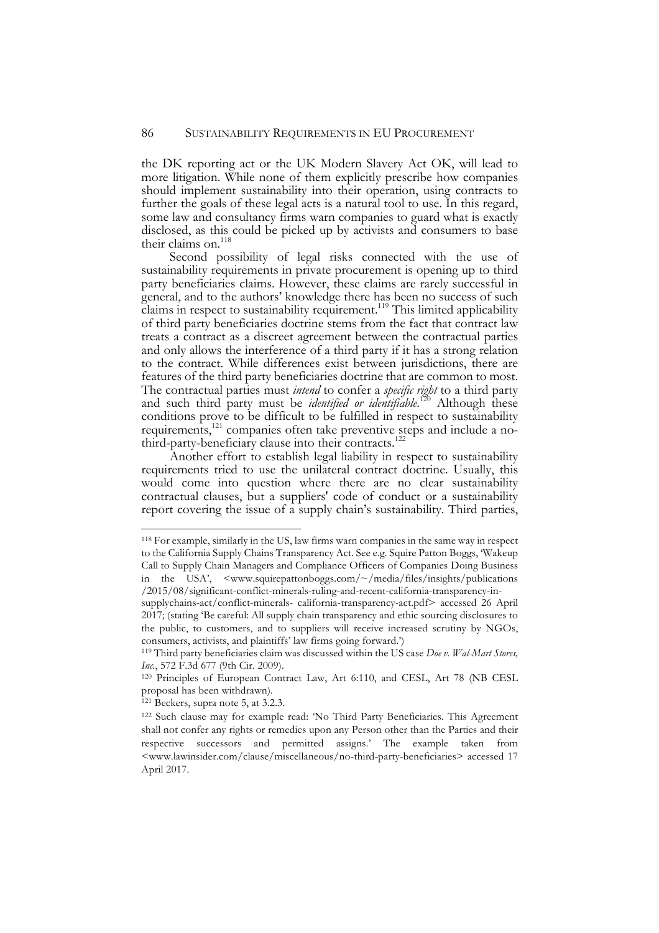the DK reporting act or the UK Modern Slavery Act OK, will lead to more litigation. While none of them explicitly prescribe how companies should implement sustainability into their operation, using contracts to further the goals of these legal acts is a natural tool to use. In this regard, some law and consultancy firms warn companies to guard what is exactly disclosed, as this could be picked up by activists and consumers to base their claims on.<sup>118</sup>

Second possibility of legal risks connected with the use of sustainability requirements in private procurement is opening up to third party beneficiaries claims. However, these claims are rarely successful in general, and to the authors' knowledge there has been no success of such claims in respect to sustainability requirement.<sup>119</sup> This limited applicability of third party beneficiaries doctrine stems from the fact that contract law treats a contract as a discreet agreement between the contractual parties and only allows the interference of a third party if it has a strong relation to the contract. While differences exist between jurisdictions, there are features of the third party beneficiaries doctrine that are common to most. The contractual parties must *intend* to confer a *specific right* to a third party and such third party must be *identified or identifiable*. <sup>120</sup> Although these conditions prove to be difficult to be fulfilled in respect to sustainability requirements,<sup>121</sup> companies often take preventive steps and include a no-<br>third-party-beneficiary clause into their contracts.<sup>122</sup>

Another effort to establish legal liability in respect to sustainability requirements tried to use the unilateral contract doctrine. Usually, this would come into question where there are no clear sustainability contractual clauses, but a suppliers' code of conduct or a sustainability report covering the issue of a supply chain's sustainability. Third parties,

 <sup>118</sup> For example, similarly in the US, law firms warn companies in the same way in respect to the California Supply Chains Transparency Act. See e.g. Squire Patton Boggs, 'Wakeup Call to Supply Chain Managers and Compliance Officers of Companies Doing Business in the USA', <www.squirepattonboggs.com/~/media/files/insights/publications /2015/08/significant-conflict-minerals-ruling-and-recent-california-transparency-in-

supplychains-act/conflict-minerals- california-transparency-act.pdf> accessed 26 April 2017; (stating 'Be careful: All supply chain transparency and ethic sourcing disclosures to the public, to customers, and to suppliers will receive increased scrutiny by NGOs, consumers, activists, and plaintiffs' law firms going forward.')

<sup>119</sup> Third party beneficiaries claim was discussed within the US case *Doe v. Wal-Mart Stores, Inc.*, 572 F.3d 677 (9th Cir. 2009).

<sup>120</sup> Principles of European Contract Law, Art 6:110, and CESL, Art 78 (NB CESL proposal has been withdrawn).

<sup>121</sup> Beckers, supra note 5, at 3.2.3.

<sup>122</sup> Such clause may for example read: 'No Third Party Beneficiaries. This Agreement shall not confer any rights or remedies upon any Person other than the Parties and their respective successors and permitted assigns.' The example taken from <www.lawinsider.com/clause/miscellaneous/no-third-party-beneficiaries> accessed 17 April 2017.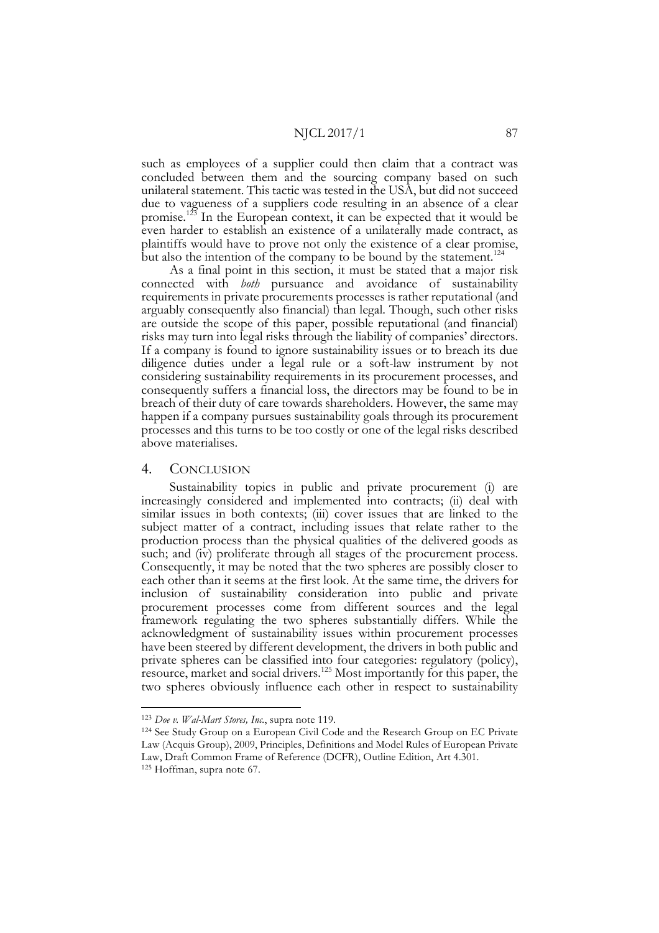such as employees of a supplier could then claim that a contract was concluded between them and the sourcing company based on such unilateral statement. This tactic was tested in the USA, but did not succeed due to vagueness of a suppliers code resulting in an absence of a clear promise.<sup>123</sup> In the European context, it can be expected that it would be even harder to establish an existence of a unilaterally made contract, as plaintiffs would have to prove not only the existence of a clear promise, but also the intention of the company to be bound by the statement.<sup>124</sup>

As a final point in this section, it must be stated that a major risk connected with *both* pursuance and avoidance of sustainability requirements in private procurements processes is rather reputational (and arguably consequently also financial) than legal. Though, such other risks are outside the scope of this paper, possible reputational (and financial) risks may turn into legal risks through the liability of companies' directors. If a company is found to ignore sustainability issues or to breach its due diligence duties under a legal rule or a soft-law instrument by not considering sustainability requirements in its procurement processes, and consequently suffers a financial loss, the directors may be found to be in breach of their duty of care towards shareholders. However, the same may happen if a company pursues sustainability goals through its procurement processes and this turns to be too costly or one of the legal risks described above materialises.

## 4. CONCLUSION

Sustainability topics in public and private procurement (i) are increasingly considered and implemented into contracts; (ii) deal with similar issues in both contexts; (iii) cover issues that are linked to the subject matter of a contract, including issues that relate rather to the production process than the physical qualities of the delivered goods as such; and (iv) proliferate through all stages of the procurement process. Consequently, it may be noted that the two spheres are possibly closer to each other than it seems at the first look. At the same time, the drivers for inclusion of sustainability consideration into public and private procurement processes come from different sources and the legal framework regulating the two spheres substantially differs. While the acknowledgment of sustainability issues within procurement processes have been steered by different development, the drivers in both public and private spheres can be classified into four categories: regulatory (policy), resource, market and social drivers.125 Most importantly for this paper, the two spheres obviously influence each other in respect to sustainability

 <sup>123</sup> *Doe v. Wal-Mart Stores, Inc.*, supra note 119.

<sup>124</sup> See Study Group on a European Civil Code and the Research Group on EC Private Law (Acquis Group), 2009, Principles, Definitions and Model Rules of European Private Law, Draft Common Frame of Reference (DCFR), Outline Edition, Art 4.301. <sup>125</sup> Hoffman, supra note 67.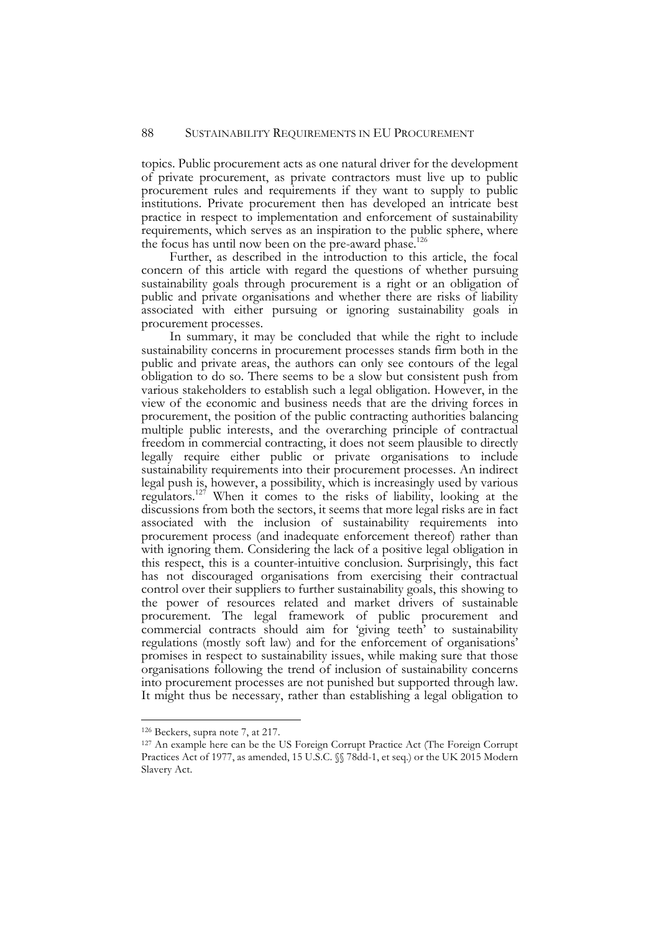topics. Public procurement acts as one natural driver for the development of private procurement, as private contractors must live up to public procurement rules and requirements if they want to supply to public institutions. Private procurement then has developed an intricate best practice in respect to implementation and enforcement of sustainability requirements, which serves as an inspiration to the public sphere, where the focus has until now been on the pre-award phase.<sup>126</sup>

Further, as described in the introduction to this article, the focal concern of this article with regard the questions of whether pursuing sustainability goals through procurement is a right or an obligation of public and private organisations and whether there are risks of liability associated with either pursuing or ignoring sustainability goals in procurement processes.

In summary, it may be concluded that while the right to include sustainability concerns in procurement processes stands firm both in the public and private areas, the authors can only see contours of the legal obligation to do so. There seems to be a slow but consistent push from various stakeholders to establish such a legal obligation. However, in the view of the economic and business needs that are the driving forces in procurement, the position of the public contracting authorities balancing multiple public interests, and the overarching principle of contractual freedom in commercial contracting, it does not seem plausible to directly legally require either public or private organisations to include sustainability requirements into their procurement processes. An indirect legal push is, however, a possibility, which is increasingly used by various regulators.127 When it comes to the risks of liability, looking at the discussions from both the sectors, it seems that more legal risks are in fact associated with the inclusion of sustainability requirements into procurement process (and inadequate enforcement thereof) rather than with ignoring them. Considering the lack of a positive legal obligation in this respect, this is a counter-intuitive conclusion. Surprisingly, this fact has not discouraged organisations from exercising their contractual control over their suppliers to further sustainability goals, this showing to the power of resources related and market drivers of sustainable procurement. The legal framework of public procurement and commercial contracts should aim for 'giving teeth' to sustainability regulations (mostly soft law) and for the enforcement of organisations' promises in respect to sustainability issues, while making sure that those organisations following the trend of inclusion of sustainability concerns into procurement processes are not punished but supported through law. It might thus be necessary, rather than establishing a legal obligation to

 <sup>126</sup> Beckers, supra note 7, at 217.

<sup>127</sup> An example here can be the US Foreign Corrupt Practice Act (The Foreign Corrupt Practices Act of 1977, as amended, 15 U.S.C. §§ 78dd-1, et seq.) or the UK 2015 Modern Slavery Act.